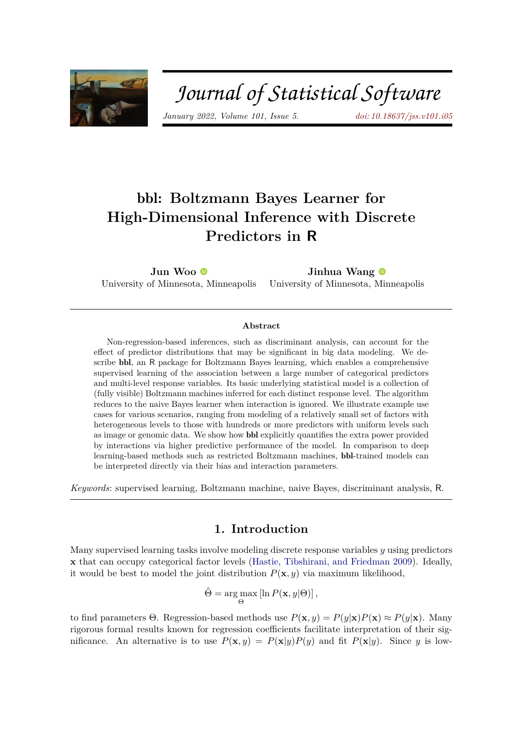

# Journal of Statistical Software

*January 2022, Volume 101, Issue 5. [doi: 10.18637/jss.v101.i05](https://doi.org/10.18637/jss.v101.i05)*

# bbl**: Boltzmann Bayes Learner for High-Dimensional Inference with Discrete Predictors in R**

**Jun Woo** University of Minnesota, Minneapolis **Jinhua Wang** University of Minnesota, Minneapolis

#### **Abstract**

Non-regression-based inferences, such as discriminant analysis, can account for the effect of predictor distributions that may be significant in big data modeling. We describe bbl, an R package for Boltzmann Bayes learning, which enables a comprehensive supervised learning of the association between a large number of categorical predictors and multi-level response variables. Its basic underlying statistical model is a collection of (fully visible) Boltzmann machines inferred for each distinct response level. The algorithm reduces to the naive Bayes learner when interaction is ignored. We illustrate example use cases for various scenarios, ranging from modeling of a relatively small set of factors with heterogeneous levels to those with hundreds or more predictors with uniform levels such as image or genomic data. We show how bbl explicitly quantifies the extra power provided by interactions via higher predictive performance of the model. In comparison to deep learning-based methods such as restricted Boltzmann machines, bbl-trained models can be interpreted directly via their bias and interaction parameters.

*Keywords*: supervised learning, Boltzmann machine, naive Bayes, discriminant analysis, R.

# **1. Introduction**

Many supervised learning tasks involve modeling discrete response variables *y* using predictors **x** that can occupy categorical factor levels [\(Hastie, Tibshirani, and Friedman](#page-29-0) [2009\)](#page-29-0). Ideally, it would be best to model the joint distribution  $P(\mathbf{x}, y)$  via maximum likelihood,

$$
\hat{\Theta} = \arg\max_{\Theta} \left[ \ln P(\mathbf{x}, y | \Theta) \right],
$$

to find parameters  $\Theta$ . Regression-based methods use  $P(\mathbf{x}, y) = P(y|\mathbf{x})P(\mathbf{x}) \approx P(y|\mathbf{x})$ . Many rigorous formal results known for regression coefficients facilitate interpretation of their significance. An alternative is to use  $P(\mathbf{x}, y) = P(\mathbf{x}|y)P(y)$  and fit  $P(\mathbf{x}|y)$ . Since *y* is low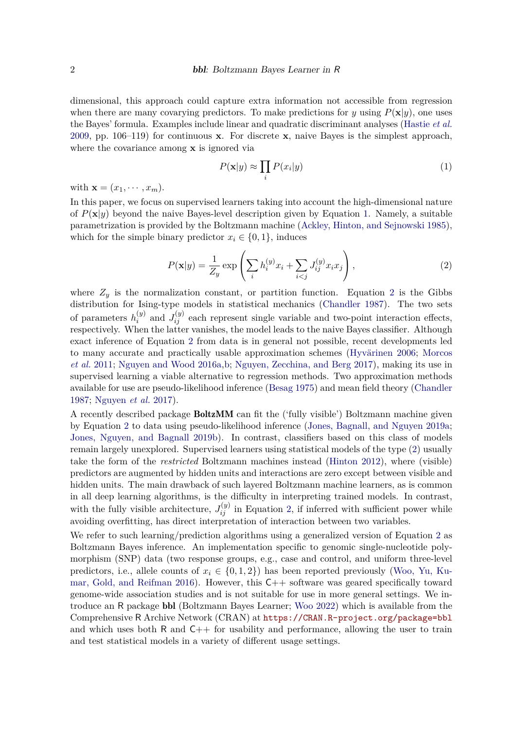dimensional, this approach could capture extra information not accessible from regression when there are many covarying predictors. To make predictions for *y* using  $P(\mathbf{x}|y)$ , one uses the Bayes' formula. Examples include linear and quadratic discriminant analyses [\(Hastie](#page-29-0) *et al.* [2009,](#page-29-0) pp. 106–119) for continuous **x**. For discrete **x**, naive Bayes is the simplest approach, where the covariance among **x** is ignored via

<span id="page-1-0"></span>
$$
P(\mathbf{x}|y) \approx \prod_i P(x_i|y) \tag{1}
$$

with  $\mathbf{x} = (x_1, \dots, x_m)$ .

In this paper, we focus on supervised learners taking into account the high-dimensional nature of  $P(\mathbf{x}|y)$  beyond the naive Bayes-level description given by Equation [1.](#page-1-0) Namely, a suitable parametrization is provided by the Boltzmann machine [\(Ackley, Hinton, and Sejnowski](#page-28-0) [1985\)](#page-28-0), which for the simple binary predictor  $x_i \in \{0, 1\}$ , induces

<span id="page-1-1"></span>
$$
P(\mathbf{x}|y) = \frac{1}{Z_y} \exp\left(\sum_i h_i^{(y)} x_i + \sum_{i < j} J_{ij}^{(y)} x_i x_j\right),\tag{2}
$$

where  $Z_y$  is the normalization constant, or partition function. Equation [2](#page-1-1) is the Gibbs distribution for Ising-type models in statistical mechanics [\(Chandler](#page-28-1) [1987\)](#page-28-1). The two sets of parameters  $h_i^{(y)}$  $J_{ij}^{(y)}$  and  $J_{ij}^{(y)}$  each represent single variable and two-point interaction effects, respectively. When the latter vanishes, the model leads to the naive Bayes classifier. Although exact inference of Equation [2](#page-1-1) from data is in general not possible, recent developments led to many accurate and practically usable approximation schemes [\(Hyvärinen](#page-29-1) [2006;](#page-29-1) [Morcos](#page-29-2) *[et al.](#page-29-2)* [2011;](#page-29-2) [Nguyen and Wood](#page-29-3) [2016a,](#page-29-3)[b;](#page-29-4) [Nguyen, Zecchina, and Berg](#page-29-5) [2017\)](#page-29-5), making its use in supervised learning a viable alternative to regression methods. Two approximation methods available for use are pseudo-likelihood inference [\(Besag](#page-28-2) [1975\)](#page-28-2) and mean field theory [\(Chandler](#page-28-1) [1987;](#page-28-1) [Nguyen](#page-29-5) *et al.* [2017\)](#page-29-5).

A recently described package BoltzMM can fit the ('fully visible') Boltzmann machine given by Equation [2](#page-1-1) to data using pseudo-likelihood inference [\(Jones, Bagnall, and Nguyen](#page-29-6) [2019a;](#page-29-6) [Jones, Nguyen, and Bagnall](#page-29-7) [2019b\)](#page-29-7). In contrast, classifiers based on this class of models remain largely unexplored. Supervised learners using statistical models of the type [\(2\)](#page-1-1) usually take the form of the *restricted* Boltzmann machines instead [\(Hinton](#page-29-8) [2012\)](#page-29-8), where (visible) predictors are augmented by hidden units and interactions are zero except between visible and hidden units. The main drawback of such layered Boltzmann machine learners, as is common in all deep learning algorithms, is the difficulty in interpreting trained models. In contrast, with the fully visible architecture,  $J_{ij}^{(y)}$  in Equation [2,](#page-1-1) if inferred with sufficient power while avoiding overfitting, has direct interpretation of interaction between two variables.

We refer to such learning/prediction algorithms using a generalized version of Equation [2](#page-1-1) as Boltzmann Bayes inference. An implementation specific to genomic single-nucleotide polymorphism (SNP) data (two response groups, e.g., case and control, and uniform three-level predictors, i.e., allele counts of  $x_i \in \{0, 1, 2\}$  has been reported previously [\(Woo, Yu, Ku](#page-30-0)[mar, Gold, and Reifman](#page-30-0) [2016\)](#page-30-0). However, this C++ software was geared specifically toward genome-wide association studies and is not suitable for use in more general settings. We introduce an R package bbl (Boltzmann Bayes Learner; [Woo](#page-30-1) [2022\)](#page-30-1) which is available from the Comprehensive R Archive Network (CRAN) at <https://CRAN.R-project.org/package=bbl> and which uses both R and  $C_{++}$  for usability and performance, allowing the user to train and test statistical models in a variety of different usage settings.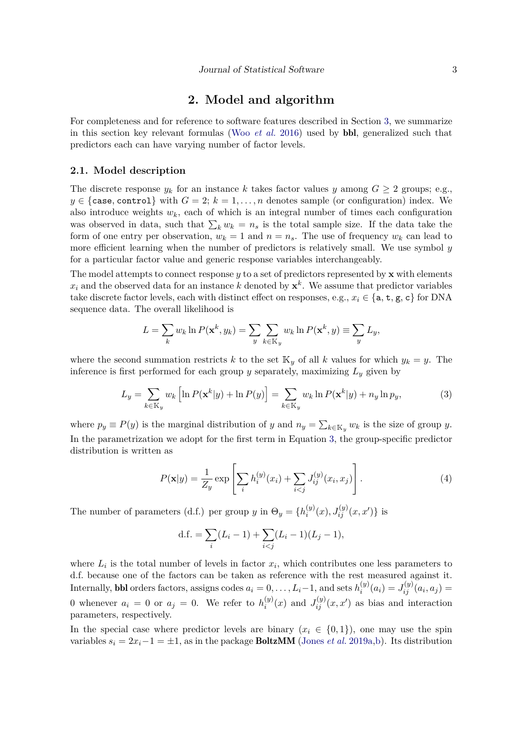# **2. Model and algorithm**

For completeness and for reference to software features described in Section [3,](#page-7-0) we summarize in this section key relevant formulas (Woo *[et al.](#page-30-0)* [2016\)](#page-30-0) used by bbl, generalized such that predictors each can have varying number of factor levels.

#### **2.1. Model description**

The discrete response  $y_k$  for an instance k takes factor values y among  $G \geq 2$  groups; e.g.,  $y \in \{\text{case}, \text{control}\}\$  with  $G = 2; k = 1, \ldots, n$  denotes sample (or configuration) index. We also introduce weights  $w_k$ , each of which is an integral number of times each configuration was observed in data, such that  $\sum_k w_k = n_s$  is the total sample size. If the data take the form of one entry per observation,  $w_k = 1$  and  $n = n_s$ . The use of frequency  $w_k$  can lead to more efficient learning when the number of predictors is relatively small. We use symbol *y* for a particular factor value and generic response variables interchangeably.

The model attempts to connect response *y* to a set of predictors represented by **x** with elements  $x_i$  and the observed data for an instance *k* denoted by  $\mathbf{x}^k$ . We assume that predictor variables take discrete factor levels, each with distinct effect on responses, e.g.,  $x_i \in \{a, t, g, c\}$  for DNA sequence data. The overall likelihood is

$$
L = \sum_{k} w_k \ln P(\mathbf{x}^k, y_k) = \sum_{y} \sum_{k \in \mathbb{K}_y} w_k \ln P(\mathbf{x}^k, y) \equiv \sum_{y} L_y,
$$

where the second summation restricts *k* to the set  $\mathbb{K}_y$  of all *k* values for which  $y_k = y$ . The inference is first performed for each group  $y$  separately, maximizing  $L_y$  given by

<span id="page-2-0"></span>
$$
L_y = \sum_{k \in \mathbb{K}_y} w_k \left[ \ln P(\mathbf{x}^k | y) + \ln P(y) \right] = \sum_{k \in \mathbb{K}_y} w_k \ln P(\mathbf{x}^k | y) + n_y \ln p_y,\tag{3}
$$

where  $p_y \equiv P(y)$  is the marginal distribution of *y* and  $n_y = \sum_{k \in \mathbb{K}_y} w_k$  is the size of group *y*. In the parametrization we adopt for the first term in Equation [3,](#page-2-0) the group-specific predictor distribution is written as

<span id="page-2-1"></span>
$$
P(\mathbf{x}|y) = \frac{1}{Z_y} \exp\left[\sum_i h_i^{(y)}(x_i) + \sum_{i < j} J_{ij}^{(y)}(x_i, x_j)\right].\tag{4}
$$

The number of parameters (d.f.) per group *y* in  $\Theta_y = \{h_i^{(y)}\}$  $a_i^{(y)}(x), J_{ij}^{(y)}(x, x')\}$  is

d.f. = 
$$
\sum_{i} (L_i - 1) + \sum_{i < j} (L_i - 1)(L_j - 1),
$$

where  $L_i$  is the total number of levels in factor  $x_i$ , which contributes one less parameters to d.f. because one of the factors can be taken as reference with the rest measured against it. Internally, **bbl** orders factors, assigns codes  $a_i = 0, \ldots, L_i - 1$ , and sets  $h_i^{(y)}$  $J_{ij}^{(y)}(a_i) = J_{ij}^{(y)}(a_i, a_j) =$ 0 whenever  $a_i = 0$  or  $a_j = 0$ . We refer to  $h_i^{(y)}$  $J_{ij}^{(y)}(x)$  and  $J_{ij}^{(y)}(x, x')$  as bias and interaction parameters, respectively.

In the special case where predictor levels are binary  $(x_i \in \{0,1\})$ , one may use the spin variables  $s_i = 2x_i - 1 = \pm 1$ , as in the package **BoltzMM** [\(Jones](#page-29-6) *et al.* [2019a](#page-29-6)[,b\)](#page-29-7). Its distribution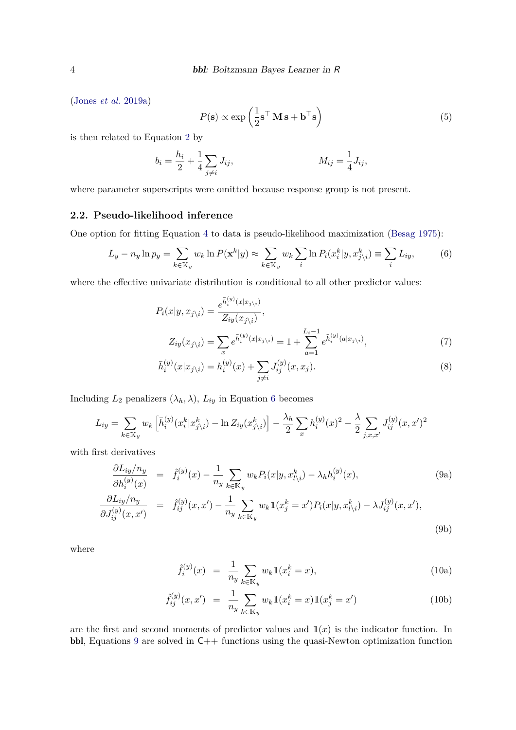[\(Jones](#page-29-6) *et al.* [2019a\)](#page-29-6)

$$
P(\mathbf{s}) \propto \exp\left(\frac{1}{2}\mathbf{s}^\top \mathbf{M} \,\mathbf{s} + \mathbf{b}^\top \mathbf{s}\right) \tag{5}
$$

is then related to Equation [2](#page-1-1) by

$$
b_i = \frac{h_i}{2} + \frac{1}{4} \sum_{j \neq i} J_{ij}, \qquad M_{ij} = \frac{1}{4} J_{ij},
$$

where parameter superscripts were omitted because response group is not present.

# **2.2. Pseudo-likelihood inference**

One option for fitting Equation [4](#page-2-1) to data is pseudo-likelihood maximization [\(Besag](#page-28-2) [1975\)](#page-28-2):

<span id="page-3-0"></span>
$$
L_y - n_y \ln p_y = \sum_{k \in \mathbb{K}_y} w_k \ln P(\mathbf{x}^k | y) \approx \sum_{k \in \mathbb{K}_y} w_k \sum_i \ln P_i(x_i^k | y, x_{j \setminus i}^k) \equiv \sum_i L_{iy}, \tag{6}
$$

where the effective univariate distribution is conditional to all other predictor values:

$$
P_i(x|y, x_{j\backslash i}) = \frac{e^{\bar{h}_i^{(y)}(x|x_{j\backslash i})}}{Z_{iy}(x_{j\backslash i})},
$$
  
\n
$$
Z_{iy}(x_{j\backslash i}) = \sum_x e^{\bar{h}_i^{(y)}(x|x_{j\backslash i})} = 1 + \sum_{a=1}^{L_i-1} e^{\bar{h}_i^{(y)}(a|x_{j\backslash i})},
$$
\n(7)

<span id="page-3-2"></span>
$$
\bar{h}_i^{(y)}(x|x_{j\setminus i}) = h_i^{(y)}(x) + \sum_{j \neq i} J_{ij}^{(y)}(x, x_j). \tag{8}
$$

Including  $L_2$  penalizers  $(\lambda_h, \lambda)$ ,  $L_{iy}$  in Equation [6](#page-3-0) becomes

$$
L_{iy} = \sum_{k \in \mathbb{K}_y} w_k \left[ \bar{h}_i^{(y)} (x_i^k | x_{j \setminus i}^k) - \ln Z_{iy} (x_{j \setminus i}^k) \right] - \frac{\lambda_h}{2} \sum_x h_i^{(y)} (x_i^2 - \frac{\lambda}{2} \sum_{j, x, x'} J_{ij}^{(y)} (x, x')^2
$$

with first derivatives

<span id="page-3-1"></span>
$$
\frac{\partial L_{iy}/n_y}{\partial h_i^{(y)}(x)} = \hat{f}_i^{(y)}(x) - \frac{1}{n_y} \sum_{k \in \mathbb{K}_y} w_k P_i(x|y, x_{l \setminus i}^k) - \lambda_h h_i^{(y)}(x),
$$
\n
$$
\frac{\partial L_{iy}/n_y}{\partial J_{ij}^{(y)}(x, x')} = \hat{f}_{ij}^{(y)}(x, x') - \frac{1}{n_y} \sum_{k \in \mathbb{K}_y} w_k \mathbb{1}(x_j^k = x') P_i(x|y, x_{l \setminus i}^k) - \lambda J_{ij}^{(y)}(x, x'),
$$
\n(9b)

where

$$
\hat{f}_i^{(y)}(x) = \frac{1}{n_y} \sum_{k \in \mathbb{K}_y} w_k \mathbb{1}(x_i^k = x), \tag{10a}
$$

$$
\hat{f}_{ij}^{(y)}(x, x') = \frac{1}{n_y} \sum_{k \in \mathbb{K}_y} w_k \mathbb{1}(x_i^k = x) \mathbb{1}(x_j^k = x')
$$
\n(10b)

are the first and second moments of predictor values and  $\mathbb{1}(x)$  is the indicator function. In bbl, Equations [9](#page-3-1) are solved in C++ functions using the quasi-Newton optimization function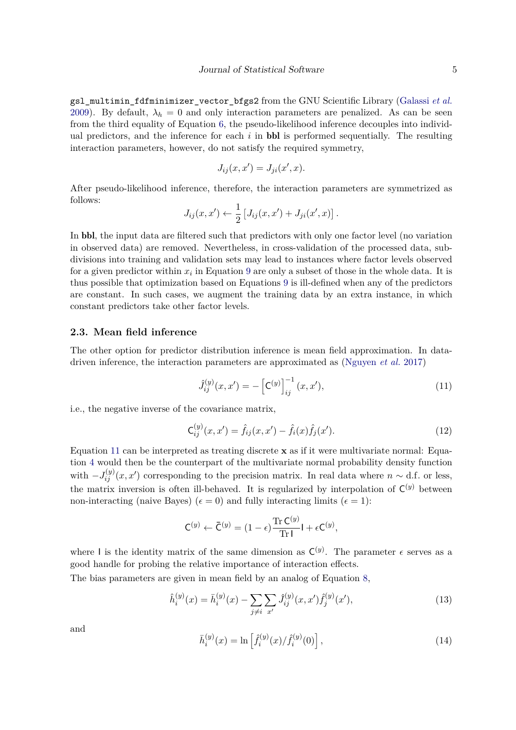gsl\_multimin\_fdfminimizer\_vector\_bfgs2 from the GNU Scientific Library [\(Galassi](#page-28-3) *et al.* [2009\)](#page-28-3). By default,  $\lambda_h = 0$  and only interaction parameters are penalized. As can be seen from the third equality of Equation [6,](#page-3-0) the pseudo-likelihood inference decouples into individual predictors, and the inference for each  $i$  in **bbl** is performed sequentially. The resulting interaction parameters, however, do not satisfy the required symmetry,

$$
J_{ij}(x, x') = J_{ji}(x', x).
$$

After pseudo-likelihood inference, therefore, the interaction parameters are symmetrized as follows:

$$
J_{ij}(x, x') \leftarrow \frac{1}{2} [J_{ij}(x, x') + J_{ji}(x', x)].
$$

In bbl, the input data are filtered such that predictors with only one factor level (no variation in observed data) are removed. Nevertheless, in cross-validation of the processed data, subdivisions into training and validation sets may lead to instances where factor levels observed for a given predictor within  $x_i$  in Equation [9](#page-3-1) are only a subset of those in the whole data. It is thus possible that optimization based on Equations [9](#page-3-1) is ill-defined when any of the predictors are constant. In such cases, we augment the training data by an extra instance, in which constant predictors take other factor levels.

#### **2.3. Mean field inference**

The other option for predictor distribution inference is mean field approximation. In datadriven inference, the interaction parameters are approximated as [\(Nguyen](#page-29-5) *et al.* [2017\)](#page-29-5)

<span id="page-4-0"></span>
$$
\hat{J}_{ij}^{(y)}(x, x') = -\left[\mathbf{C}^{(y)}\right]_{ij}^{-1}(x, x'),\tag{11}
$$

i.e., the negative inverse of the covariance matrix,

<span id="page-4-3"></span>
$$
\mathsf{C}_{ij}^{(y)}(x, x') = \hat{f}_{ij}(x, x') - \hat{f}_i(x)\hat{f}_j(x'). \tag{12}
$$

Equation [11](#page-4-0) can be interpreted as treating discrete **x** as if it were multivariate normal: Equation [4](#page-2-1) would then be the counterpart of the multivariate normal probability density function with  $-J_{ij}^{(y)}(x, x')$  corresponding to the precision matrix. In real data where  $n \sim d.f$  or less, the matrix inversion is often ill-behaved. It is regularized by interpolation of  $\mathsf{C}^{(y)}$  between non-interacting (naive Bayes) ( $\epsilon = 0$ ) and fully interacting limits ( $\epsilon = 1$ ):

$$
\mathsf{C}^{(y)} \leftarrow \bar{\mathsf{C}}^{(y)} = (1 - \epsilon) \frac{\operatorname{Tr} \mathsf{C}^{(y)}}{\operatorname{Tr} \mathsf{I}} \mathsf{I} + \epsilon \mathsf{C}^{(y)},
$$

where I is the identity matrix of the same dimension as  $C^{(y)}$ . The parameter  $\epsilon$  serves as a good handle for probing the relative importance of interaction effects.

The bias parameters are given in mean field by an analog of Equation [8,](#page-3-2)

<span id="page-4-1"></span>
$$
\hat{h}_i^{(y)}(x) = \bar{h}_i^{(y)}(x) - \sum_{j \neq i} \sum_{x'} \hat{J}_{ij}^{(y)}(x, x') \hat{f}_j^{(y)}(x'),\tag{13}
$$

and

<span id="page-4-2"></span>
$$
\bar{h}_i^{(y)}(x) = \ln \left[ \hat{f}_i^{(y)}(x) / \hat{f}_i^{(y)}(0) \right],\tag{14}
$$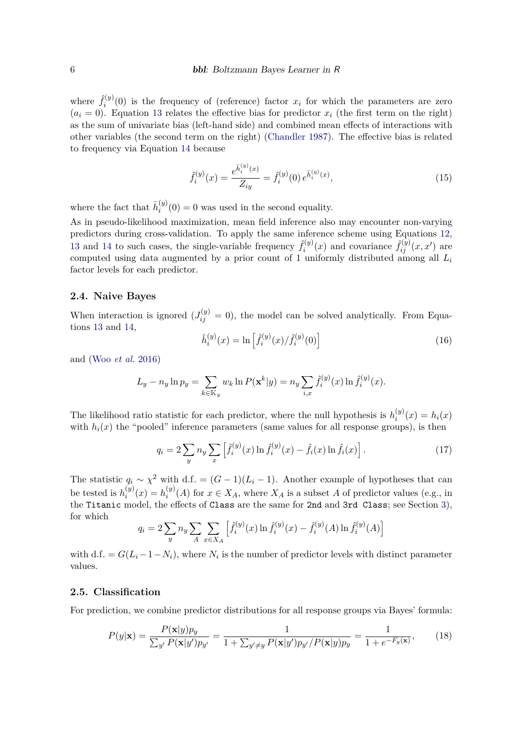where  $\hat{f}_i^{(y)}$  $\hat{u}^{(y)}(0)$  is the frequency of (reference) factor  $x_i$  for which the parameters are zero  $(a_i = 0)$ . Equation [13](#page-4-1) relates the effective bias for predictor  $x_i$  (the first term on the right) as the sum of univariate bias (left-hand side) and combined mean effects of interactions with other variables (the second term on the right) [\(Chandler](#page-28-1) [1987\)](#page-28-1). The effective bias is related to frequency via Equation [14](#page-4-2) because

$$
\hat{f}_i^{(y)}(x) = \frac{e^{\bar{h}_i^{(y)}(x)}}{Z_{iy}} = \hat{f}_i^{(y)}(0) e^{\bar{h}_i^{(y)}(x)},
$$
\n(15)

where the fact that  $\bar{h}^{(y)}_i$  $f_i^{(y)}(0) = 0$  was used in the second equality.

As in pseudo-likelihood maximization, mean field inference also may encounter non-varying predictors during cross-validation. To apply the same inference scheme using Equations [12,](#page-4-3) [13](#page-4-1) and [14](#page-4-2) to such cases, the single-variable frequency  $\hat{f}_i^{(y)}$  $\hat{f}^{(y)}_{i}(x)$  and covariance  $\hat{f}^{(y)}_{ij}(x, x')$  are computed using data augmented by a prior count of 1 uniformly distributed among all *L<sup>i</sup>* factor levels for each predictor.

#### **2.4. Naive Bayes**

When interaction is ignored  $(J_{ij}^{(y)} = 0)$ , the model can be solved analytically. From Equations [13](#page-4-1) and [14,](#page-4-2)

$$
\hat{h}_i^{(y)}(x) = \ln \left[ \hat{f}_i^{(y)}(x) / \hat{f}_i^{(y)}(0) \right]
$$
\n(16)

and (Woo *[et al.](#page-30-0)* [2016\)](#page-30-0)

$$
L_y - n_y \ln p_y = \sum_{k \in \mathbb{K}_y} w_k \ln P(\mathbf{x}^k | y) = n_y \sum_{i,x} \hat{f}_i^{(y)}(x) \ln \hat{f}_i^{(y)}(x).
$$

The likelihood ratio statistic for each predictor, where the null hypothesis is  $h_i^{(y)}$  $b_i^{(y)}(x) = h_i(x)$ with  $h_i(x)$  the "pooled" inference parameters (same values for all response groups), is then

<span id="page-5-1"></span>
$$
q_i = 2 \sum_{y} n_y \sum_{x} \left[ \hat{f}_i^{(y)}(x) \ln \hat{f}_i^{(y)}(x) - \hat{f}_i(x) \ln \hat{f}_i(x) \right]. \tag{17}
$$

The statistic  $q_i \sim \chi^2$  with d*.f.* =  $(G-1)(L_i-1)$ . Another example of hypotheses that can be tested is  $h_i^{(y)}$  $i^{(y)}(x) = h^{(y)}_i$  $i^{(y)}(A)$  for  $x \in X_A$ , where  $X_A$  is a subset *A* of predictor values (e.g., in the Titanic model, the effects of Class are the same for 2nd and 3rd Class; see Section [3\)](#page-7-0), for which

$$
q_i = 2 \sum_{y} n_y \sum_{A} \sum_{x \in X_A} \left[ \hat{f}_i^{(y)}(x) \ln \hat{f}_i^{(y)}(x) - \hat{f}_i^{(y)}(A) \ln \hat{f}_i^{(y)}(A) \right]
$$

with d.f. =  $G(L_i - 1 - N_i)$ , where  $N_i$  is the number of predictor levels with distinct parameter values.

#### **2.5. Classification**

For prediction, we combine predictor distributions for all response groups via Bayes' formula:

<span id="page-5-0"></span>
$$
P(y|\mathbf{x}) = \frac{P(\mathbf{x}|y)p_y}{\sum_{y'} P(\mathbf{x}|y')p_{y'}} = \frac{1}{1 + \sum_{y' \neq y} P(\mathbf{x}|y')p_{y'}/P(\mathbf{x}|y)p_y} = \frac{1}{1 + e^{-F_y(\mathbf{x})}},\tag{18}
$$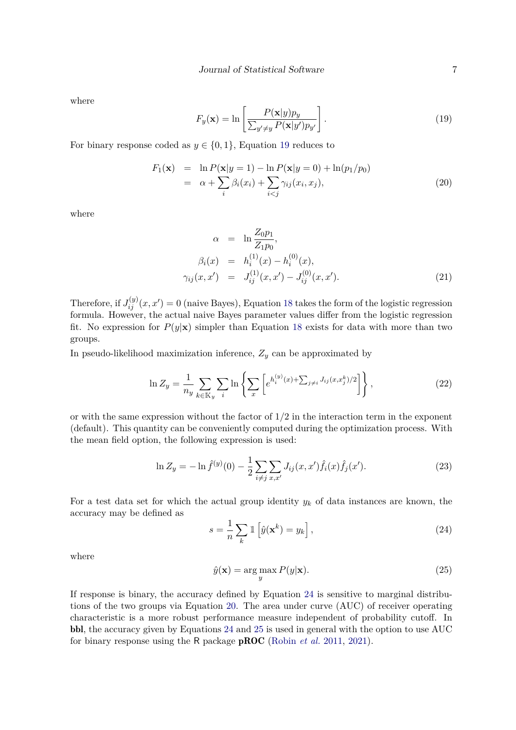where

<span id="page-6-0"></span>
$$
F_y(\mathbf{x}) = \ln \left[ \frac{P(\mathbf{x}|y)p_y}{\sum_{y' \neq y} P(\mathbf{x}|y')p_{y'}} \right].
$$
\n(19)

For binary response coded as  $y \in \{0, 1\}$ , Equation [19](#page-6-0) reduces to

<span id="page-6-2"></span>
$$
F_1(\mathbf{x}) = \ln P(\mathbf{x}|y=1) - \ln P(\mathbf{x}|y=0) + \ln(p_1/p_0)
$$
  
=  $\alpha + \sum_i \beta_i(x_i) + \sum_{i < j} \gamma_{ij}(x_i, x_j),$  (20)

where

<span id="page-6-4"></span>
$$
\alpha = \ln \frac{Z_0 p_1}{Z_1 p_0},
$$
  
\n
$$
\beta_i(x) = h_i^{(1)}(x) - h_i^{(0)}(x),
$$
  
\n
$$
\gamma_{ij}(x, x') = J_{ij}^{(1)}(x, x') - J_{ij}^{(0)}(x, x').
$$
\n(21)

Therefore, if  $J_{ij}^{(y)}(x, x') = 0$  (naive Bayes), Equation [18](#page-5-0) takes the form of the logistic regression formula. However, the actual naive Bayes parameter values differ from the logistic regression fit. No expression for  $P(y|\mathbf{x})$  simpler than Equation [18](#page-5-0) exists for data with more than two groups.

In pseudo-likelihood maximization inference,  $Z_y$  can be approximated by

$$
\ln Z_y = \frac{1}{n_y} \sum_{k \in \mathbb{K}_y} \sum_i \ln \left\{ \sum_x \left[ e^{h_i^{(y)}(x) + \sum_{j \neq i} J_{ij}(x, x_j^k)/2} \right] \right\},\tag{22}
$$

or with the same expression without the factor of 1*/*2 in the interaction term in the exponent (default). This quantity can be conveniently computed during the optimization process. With the mean field option, the following expression is used:

$$
\ln Z_y = -\ln \hat{f}^{(y)}(0) - \frac{1}{2} \sum_{i \neq j} \sum_{x, x'} J_{ij}(x, x') \hat{f}_i(x) \hat{f}_j(x'). \tag{23}
$$

For a test data set for which the actual group identity  $y_k$  of data instances are known, the accuracy may be defined as

<span id="page-6-1"></span>
$$
s = \frac{1}{n} \sum_{k} \mathbb{1} \left[ \hat{y}(\mathbf{x}^{k}) = y_{k} \right],
$$
\n(24)

where

<span id="page-6-3"></span>
$$
\hat{y}(\mathbf{x}) = \arg\max_{y} P(y|\mathbf{x}).\tag{25}
$$

If response is binary, the accuracy defined by Equation [24](#page-6-1) is sensitive to marginal distributions of the two groups via Equation [20.](#page-6-2) The area under curve (AUC) of receiver operating characteristic is a more robust performance measure independent of probability cutoff. In bbl, the accuracy given by Equations [24](#page-6-1) and [25](#page-6-3) is used in general with the option to use AUC for binary response using the R package pROC [\(Robin](#page-30-2) *et al.* [2011,](#page-30-2) [2021\)](#page-30-3).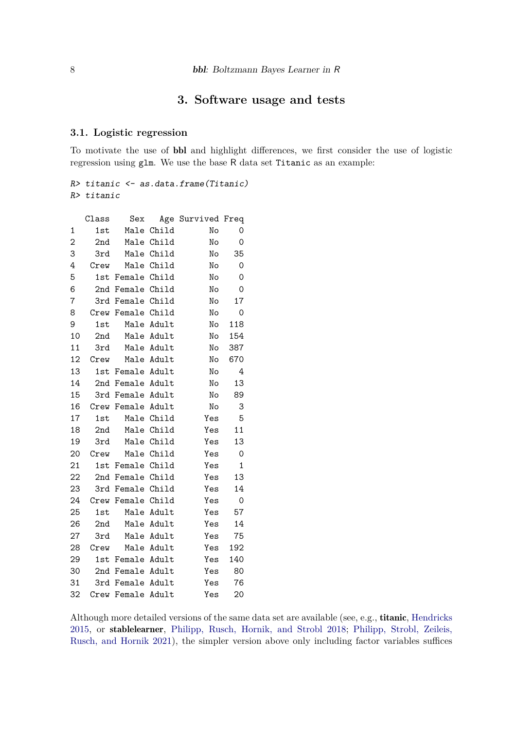# **3. Software usage and tests**

## <span id="page-7-1"></span><span id="page-7-0"></span>**3.1. Logistic regression**

To motivate the use of bbl and highlight differences, we first consider the use of logistic regression using glm. We use the base R data set Titanic as an example:

R> titanic <- as.data.frame(Titanic) R> titanic

|                | Class | Sex               |            | Age Survived Freq |     |
|----------------|-------|-------------------|------------|-------------------|-----|
| 1              | 1st   |                   | Male Child | No                | 0   |
| $\overline{c}$ | 2nd   |                   | Male Child | No                | 0   |
| 3              | 3rd   |                   | Male Child | No                | 35  |
| 4              | Crew  |                   | Male Child | No                | 0   |
| 5              |       | 1st Female Child  |            | No                | 0   |
| 6              |       | 2nd Female Child  |            | No                | 0   |
| 7              |       | 3rd Female Child  |            | No                | 17  |
| 8              |       | Crew Female Child |            | No                | 0   |
| 9              | 1st   |                   | Male Adult | No                | 118 |
| 10             | 2nd   |                   | Male Adult | No                | 154 |
| 11             | 3rd   |                   | Male Adult | No                | 387 |
| 12             | Crew  | Male Adult        |            | No                | 670 |
| 13             |       | 1st Female Adult  |            | No                | 4   |
| 14             |       | 2nd Female Adult  |            | No                | 13  |
| 15             | 3rd   | Female Adult      |            | No                | 89  |
| 16             |       | Crew Female Adult |            | No                | 3   |
| 17             | 1st   |                   | Male Child | Yes               | 5   |
| 18             | 2nd   |                   | Male Child | Yes               | 11  |
| 19             | 3rd   |                   | Male Child | Yes               | 13  |
| 20             | Crew  | Male Child        |            | Yes               | 0   |
| 21             | 1st   | Female Child      |            | Yes               | 1   |
| 22             |       | 2nd Female Child  |            | Yes               | 13  |
| 23             | 3rd   | Female Child      |            | Yes               | 14  |
| 24             |       | Crew Female Child |            | Yes               | 0   |
| 25             | 1st   |                   | Male Adult | Yes               | 57  |
| 26             | 2nd   |                   | Male Adult | Yes               | 14  |
| 27             | 3rd   |                   | Male Adult | Yes               | 75  |
| 28             | Crew  |                   | Male Adult | Yes               | 192 |
| 29             | 1st   | Female Adult      |            | Yes               | 140 |
| 30             |       | 2nd Female Adult  |            | Yes               | 80  |
| 31             |       | 3rd Female Adult  |            | Yes               | 76  |
| 32             |       | Crew Female Adult |            | Yes               | 20  |

Although more detailed versions of the same data set are available (see, e.g., titanic, [Hendricks](#page-29-9) [2015,](#page-29-9) or stablelearner, [Philipp, Rusch, Hornik, and Strobl](#page-30-4) [2018;](#page-30-4) [Philipp, Strobl, Zeileis,](#page-30-5) [Rusch, and Hornik](#page-30-5) [2021\)](#page-30-5), the simpler version above only including factor variables suffices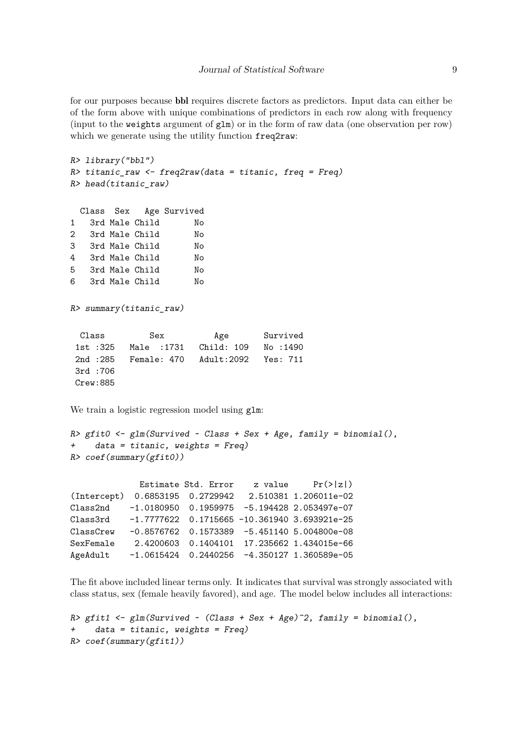for our purposes because bbl requires discrete factors as predictors. Input data can either be of the form above with unique combinations of predictors in each row along with frequency (input to the weights argument of glm) or in the form of raw data (one observation per row) which we generate using the utility function freq2raw:

```
R> library("bbl")
R> titanic_raw <- freq2raw(data = titanic, freq = Freq)
R> head(titanic_raw)
 Class Sex Age Survived
1 3rd Male Child No
2 3rd Male Child No
3 3rd Male Child No
```

| $\overline{\phantom{a}}$ |  | $0 + u$ $1 + u + v$ | $\sim$ |
|--------------------------|--|---------------------|--------|
| 4                        |  | 3rd Male Child      | Nο     |
| 5.                       |  | 3rd Male Child      | Nο     |

6 3rd Male Child No

R> summary(titanic\_raw)

| Class    | Sex                                         | Age | Survived |  |  |
|----------|---------------------------------------------|-----|----------|--|--|
| 1st :325 |                                             |     |          |  |  |
|          | 2nd :285  Female: 470  Adult:2092  Yes: 711 |     |          |  |  |
| 3rd :706 |                                             |     |          |  |  |
| Crew:885 |                                             |     |          |  |  |

We train a logistic regression model using  $g \text{Im}$ :

```
R> gfit0 <- glm(Survived ~ Class + Sex + Age, family = binomial(),
+ data = titanic, weights = Freq)
R> coef(summary(gfit0))
```
Estimate Std. Error z value  $Pr(>|z|)$ (Intercept) 0.6853195 0.2729942 2.510381 1.206011e-02 Class2nd -1.0180950 0.1959975 -5.194428 2.053497e-07 Class3rd -1.7777622 0.1715665 -10.361940 3.693921e-25 ClassCrew -0.8576762 0.1573389 -5.451140 5.004800e-08 SexFemale 2.4200603 0.1404101 17.235662 1.434015e-66 AgeAdult -1.0615424 0.2440256 -4.350127 1.360589e-05

The fit above included linear terms only. It indicates that survival was strongly associated with class status, sex (female heavily favored), and age. The model below includes all interactions:

```
R> gfit1 <- glm(Survived \sim (Class + Sex + Age)^2, family = binomial(),
+ data = titanic, weights = Freq)
R> coef(summary(gfit1))
```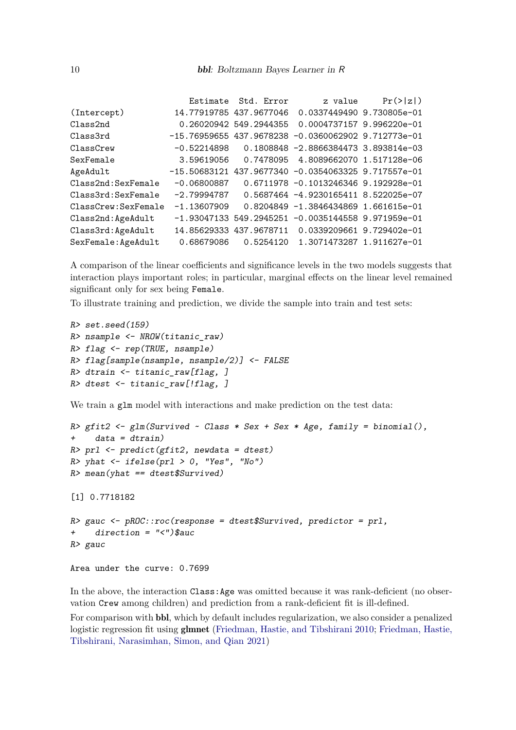|               |                                                           | Pr(> z )                                                                                                                                                                                                                                                                                                                                                                                                                                                                                                                                                                                                                                        |
|---------------|-----------------------------------------------------------|-------------------------------------------------------------------------------------------------------------------------------------------------------------------------------------------------------------------------------------------------------------------------------------------------------------------------------------------------------------------------------------------------------------------------------------------------------------------------------------------------------------------------------------------------------------------------------------------------------------------------------------------------|
|               |                                                           |                                                                                                                                                                                                                                                                                                                                                                                                                                                                                                                                                                                                                                                 |
|               |                                                           |                                                                                                                                                                                                                                                                                                                                                                                                                                                                                                                                                                                                                                                 |
|               |                                                           |                                                                                                                                                                                                                                                                                                                                                                                                                                                                                                                                                                                                                                                 |
|               |                                                           |                                                                                                                                                                                                                                                                                                                                                                                                                                                                                                                                                                                                                                                 |
|               |                                                           |                                                                                                                                                                                                                                                                                                                                                                                                                                                                                                                                                                                                                                                 |
|               |                                                           |                                                                                                                                                                                                                                                                                                                                                                                                                                                                                                                                                                                                                                                 |
| $-0.06800887$ |                                                           |                                                                                                                                                                                                                                                                                                                                                                                                                                                                                                                                                                                                                                                 |
|               |                                                           |                                                                                                                                                                                                                                                                                                                                                                                                                                                                                                                                                                                                                                                 |
|               |                                                           |                                                                                                                                                                                                                                                                                                                                                                                                                                                                                                                                                                                                                                                 |
|               |                                                           |                                                                                                                                                                                                                                                                                                                                                                                                                                                                                                                                                                                                                                                 |
|               |                                                           |                                                                                                                                                                                                                                                                                                                                                                                                                                                                                                                                                                                                                                                 |
|               |                                                           |                                                                                                                                                                                                                                                                                                                                                                                                                                                                                                                                                                                                                                                 |
|               | -0.52214898<br>3.59619056<br>$-2.79994787$<br>-1.13607909 | Estimate Std. Error<br>z value<br>14.77919785 437.9677046 0.0337449490 9.730805e-01<br>0.26020942 549.2944355 0.0004737157 9.996220e-01<br>$-15.76959655$ 437.9678238 $-0.0360062902$ 9.712773e-01<br>0.1808848 -2.8866384473 3.893814e-03<br>0.7478095 4.8089662070 1.517128e-06<br>$-15.50683121$ 437.9677340 -0.0354063325 9.717557e-01<br>0.6711978 -0.1013246346 9.192928e-01<br>0.5687464 -4.9230165411 8.522025e-07<br>0.8204849 -1.3846434869 1.661615e-01<br>$-1.93047133$ 549.2945251 $-0.0035144558$ 9.971959e-01<br>14.85629333 437.9678711    0.0339209661    9.729402e-01<br>0.68679086   0.5254120   1.3071473287   1.911627e-01 |

A comparison of the linear coefficients and significance levels in the two models suggests that interaction plays important roles; in particular, marginal effects on the linear level remained significant only for sex being Female.

To illustrate training and prediction, we divide the sample into train and test sets:

```
R> set.seed(159)
R> nsample <- NROW(titanic_raw)
R> flag <- rep(TRUE, nsample)
R> flag[sample(nsample, nsample/2)] <- FALSE
R> dtrain <- titanic_raw[flag, ]
R> dtest <- titanic_raw[!flag, ]
```
We train a glm model with interactions and make prediction on the test data:

```
R> gfit2 <- glm(Survived \sim Class * Sex + Sex * Age, family = binomial(),
+ data = dtrain)
R> prl <- predict(gfit2, newdata = dtest)
R> yhat \leq ifelse(prl > 0, "Yes", "No")
R> mean(yhat == dtest$Survived)
[1] 0.7718182
R> gauc <- pROC::roc(response = dtest$Survived, predictor = prl,
+ direction = "<")$auc
R> gauc
```

```
Area under the curve: 0.7699
```
In the above, the interaction Class:Age was omitted because it was rank-deficient (no observation Crew among children) and prediction from a rank-deficient fit is ill-defined.

For comparison with bbl, which by default includes regularization, we also consider a penalized logistic regression fit using glmnet [\(Friedman, Hastie, and Tibshirani](#page-28-4) [2010;](#page-28-4) [Friedman, Hastie,](#page-28-5) [Tibshirani, Narasimhan, Simon, and Qian](#page-28-5) [2021\)](#page-28-5)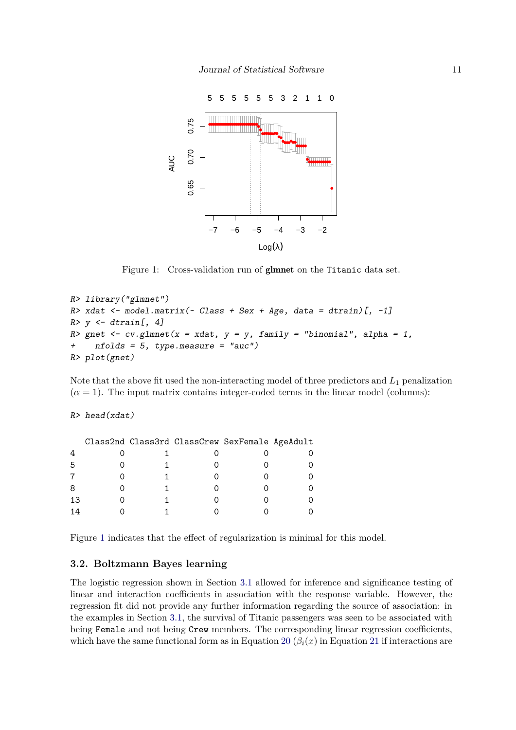

<span id="page-10-0"></span>Figure 1: Cross-validation run of glmnet on the Titanic data set.

```
R> library("glmnet")
R> xdat <- model.matrix(~ Class + Sex + Age, data = dtrain)[, -1]
R> y <- dtrain[, 4]
R> gnet \leq cv.glmnet(x = xdat, y = y, family = "binomial", alpha = 1,
+ nfolds = 5, type.measure = "auc")
R> plot(gnet)
```
Note that the above fit used the non-interacting model of three predictors and *L*<sup>1</sup> penalization  $(\alpha = 1)$ . The input matrix contains integer-coded terms in the linear model (columns):

# R> head(xdat)

|    |  | Class2nd Class3rd ClassCrew SexFemale AgeAdult |  |
|----|--|------------------------------------------------|--|
|    |  |                                                |  |
| 5  |  |                                                |  |
|    |  |                                                |  |
| 8  |  |                                                |  |
| 13 |  |                                                |  |
| 14 |  |                                                |  |

Figure [1](#page-10-0) indicates that the effect of regularization is minimal for this model.

#### <span id="page-10-1"></span>**3.2. Boltzmann Bayes learning**

The logistic regression shown in Section [3.1](#page-7-1) allowed for inference and significance testing of linear and interaction coefficients in association with the response variable. However, the regression fit did not provide any further information regarding the source of association: in the examples in Section [3.1,](#page-7-1) the survival of Titanic passengers was seen to be associated with being Female and not being Crew members. The corresponding linear regression coefficients, which have the same functional form as in Equation [20](#page-6-2)  $(\beta_i(x))$  in Equation [21](#page-6-4) if interactions are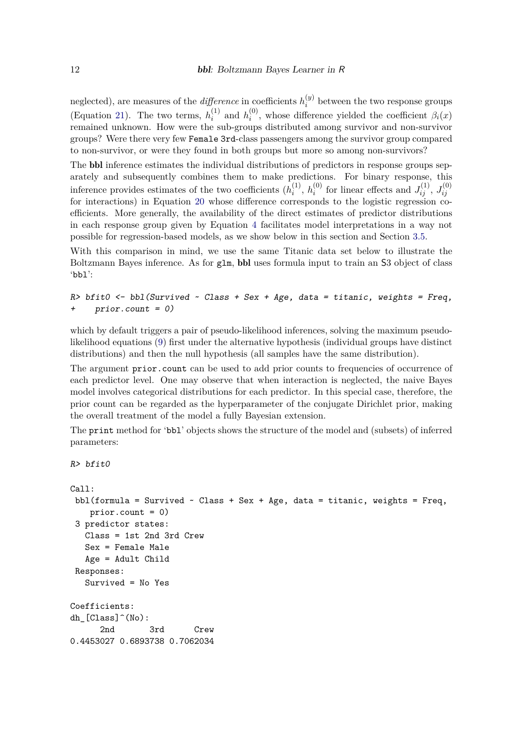neglected), are measures of the *difference* in coefficients  $h_i^{(y)}$  $i_j^{(y)}$  between the two response groups (Equation [21\)](#page-6-4). The two terms,  $h_i^{(1)}$  $i^{(1)}$  and  $h^{(0)}_i$  $\beta_i^{(0)}$ , whose difference yielded the coefficient  $\beta_i(x)$ remained unknown. How were the sub-groups distributed among survivor and non-survivor groups? Were there very few Female 3rd-class passengers among the survivor group compared to non-survivor, or were they found in both groups but more so among non-survivors?

The bbl inference estimates the individual distributions of predictors in response groups separately and subsequently combines them to make predictions. For binary response, this inference provides estimates of the two coefficients  $(h_i^{(1)})$  $\binom{1}{i}$ ,  $h_i^{(0)}$  $J_{ij}^{(0)}$  for linear effects and  $J_{ij}^{(1)}$ ,  $J_{ij}^{(0)}$ *ij* for interactions) in Equation [20](#page-6-2) whose difference corresponds to the logistic regression coefficients. More generally, the availability of the direct estimates of predictor distributions in each response group given by Equation [4](#page-2-1) facilitates model interpretations in a way not possible for regression-based models, as we show below in this section and Section [3.5.](#page-23-0)

With this comparison in mind, we use the same Titanic data set below to illustrate the Boltzmann Bayes inference. As for glm, bbl uses formula input to train an S3 object of class 'bbl':

 $R$ > bfit0 <- bbl(Survived ~ Class + Sex + Age, data = titanic, weights = Freq,  $prior.count = 0)$ 

which by default triggers a pair of pseudo-likelihood inferences, solving the maximum pseudolikelihood equations [\(9\)](#page-3-1) first under the alternative hypothesis (individual groups have distinct distributions) and then the null hypothesis (all samples have the same distribution).

The argument prior.count can be used to add prior counts to frequencies of occurrence of each predictor level. One may observe that when interaction is neglected, the naive Bayes model involves categorical distributions for each predictor. In this special case, therefore, the prior count can be regarded as the hyperparameter of the conjugate Dirichlet prior, making the overall treatment of the model a fully Bayesian extension.

The print method for 'bbl' objects shows the structure of the model and (subsets) of inferred parameters:

```
R> bfit0
```

```
Call:
bbl(formula = Survived \sim Class + Sex + Age, data = titanic, weights = Freq,
   prior.count = 0)
3 predictor states:
  Class = 1st 2nd 3rd Crew
  Sex = Female Male
  Age = Adult Child
Responses:
  Survived = No Yes
Coefficients:
dh [Class]^(No):2nd 3rd Crew
0.4453027 0.6893738 0.7062034
```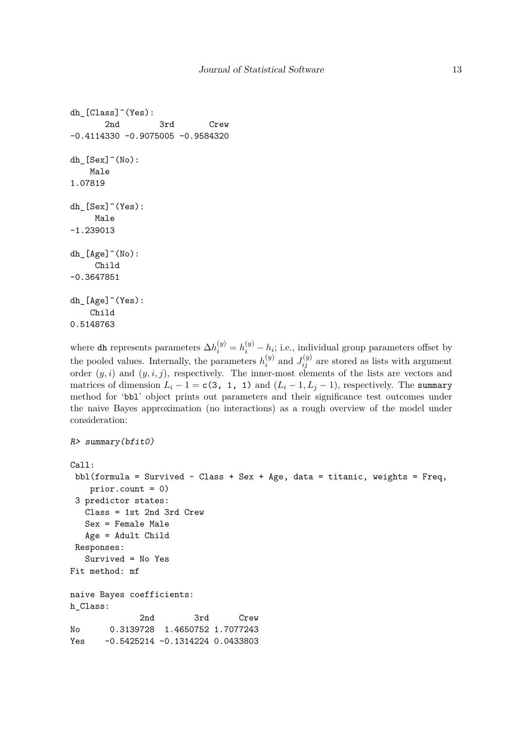```
dh_[Class]^(Yes):
       2nd 3rd Crew
-0.4114330 -0.9075005 -0.9584320
dh [Sex]^{\hat{}}(No):Male
1.07819
dh [Sex]^\frown(Yes):
     Male
-1.239013
dh_[Age]^(No):
     Child
-0.3647851
dh_[Age]^(Yes):
    Child
0.5148763
```
where dh represents parameters  $\Delta h_i^{(y)} = h_i^{(y)} - h_i$ ; i.e., individual group parameters offset by the pooled values. Internally, the parameters  $h_i^{(y)}$  $a_i^{(y)}$  and  $J_{ij}^{(y)}$  are stored as lists with argument order  $(y, i)$  and  $(y, i, j)$ , respectively. The inner-most elements of the lists are vectors and matrices of dimension  $L_i - 1 = c(3, 1, 1)$  and  $(L_i - 1, L_j - 1)$ , respectively. The summary method for 'bbl' object prints out parameters and their significance test outcomes under the naive Bayes approximation (no interactions) as a rough overview of the model under consideration:

```
R> summary(bfit0)
Call:
 bbl(formula = Survived \sim Class + Sex + Age, data = titanic, weights = Freq,
   prior.count = 0)
 3 predictor states:
   Class = 1st 2nd 3rd Crew
   Sex = Female Male
   Age = Adult Child
 Responses:
   Survived = No Yes
Fit method: mf
naive Bayes coefficients:
h_Class:
             2nd 3rd Crew
No 0.3139728 1.4650752 1.7077243
Yes -0.5425214 -0.1314224 0.0433803
```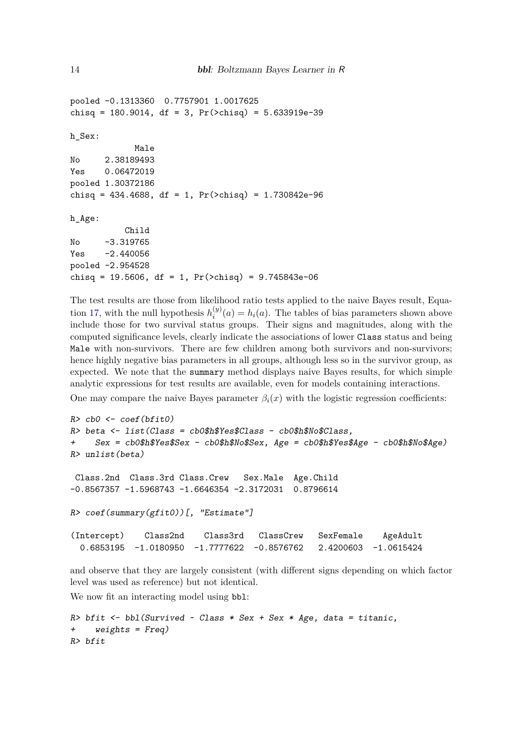```
pooled -0.1313360 0.7757901 1.0017625
chisq = 180.9014, df = 3, Pr(\text{>chisq}) = 5.633919e-39
h_Sex:
             Male
No 2.38189493
Yes 0.06472019
pooled 1.30372186
chisq = 434.4688, df = 1, Pr(\text{>chisq}) = 1.730842e-96
h_Age:
           Child
No -3.319765
Yes -2.440056pooled -2.954528
chisq = 19.5606, df = 1, Pr(\text{>chisq}) = 9.745843e-06
```
The test results are those from likelihood ratio tests applied to the naive Bayes result, Equa-tion [17,](#page-5-1) with the null hypothesis  $h_i^{(y)}$  $i^{(y)}(a) = h_i(a)$ . The tables of bias parameters shown above include those for two survival status groups. Their signs and magnitudes, along with the computed significance levels, clearly indicate the associations of lower Class status and being Male with non-survivors. There are few children among both survivors and non-survivors; hence highly negative bias parameters in all groups, although less so in the survivor group, as expected. We note that the summary method displays naive Bayes results, for which simple analytic expressions for test results are available, even for models containing interactions.

One may compare the naive Bayes parameter  $\beta_i(x)$  with the logistic regression coefficients:

```
R> cb0 <- coef(bfit0)
R> beta <- list(Class = cb0$h$Yes$Class - cb0$h$No$Class,
    Sex = cb0$h$Yes$Sex - cb0$h$No$Sex, Age = cb0$h$Yes$Age - cb0$h$No$Age)R> unlist(beta)
Class.2nd Class.3rd Class.Crew Sex.Male Age.Child
-0.8567357 -1.5968743 -1.6646354 -2.3172031 0.8796614R> coef(summary(gfit0))[, "Estimate"]
(Intercept) Class2nd Class3rd ClassCrew SexFemale AgeAdult
 0.6853195 -1.0180950 -1.7777622 -0.8576762 2.4200603 -1.0615424
```
and observe that they are largely consistent (with different signs depending on which factor level was used as reference) but not identical.

We now fit an interacting model using  $bb1$ :

```
R> bfit <- bbl(Survived \sim Class * Sex + Sex * Age, data = titanic,
+ weights = Freq)
R> bfit
```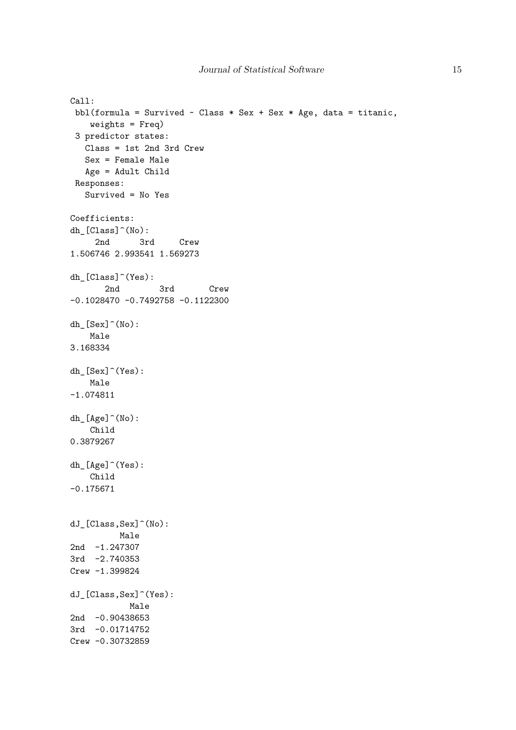```
Call:
 bbl(formula = Survived \sim Class * Sex + Sex * Age, data = titanic,
   weights = Freq)
 3 predictor states:
  Class = 1st 2nd 3rd Crew
  Sex = Female Male
  Age = Adult Child
 Responses:
  Survived = No Yes
Coefficients:
dh_[Class]^(No):
     2nd 3rd Crew
1.506746 2.993541 1.569273
dh_[Class]^(Yes):
       2nd 3rd Crew
-0.1028470 -0.7492758 -0.1122300
dh_[Sex]^(No):
   Male
3.168334
dh_[Sex]^(Yes):
   Male
-1.074811
dh_[Age]^(No):
   Child
0.3879267
dh_[Age]^(Yes):
   Child
-0.175671
dJ_[Class,Sex]^(No):
         Male
2nd -1.247307
3rd -2.740353
Crew -1.399824
dJ_[Class,Sex]^(Yes):
           Male
2nd -0.90438653
3rd -0.01714752
Crew -0.30732859
```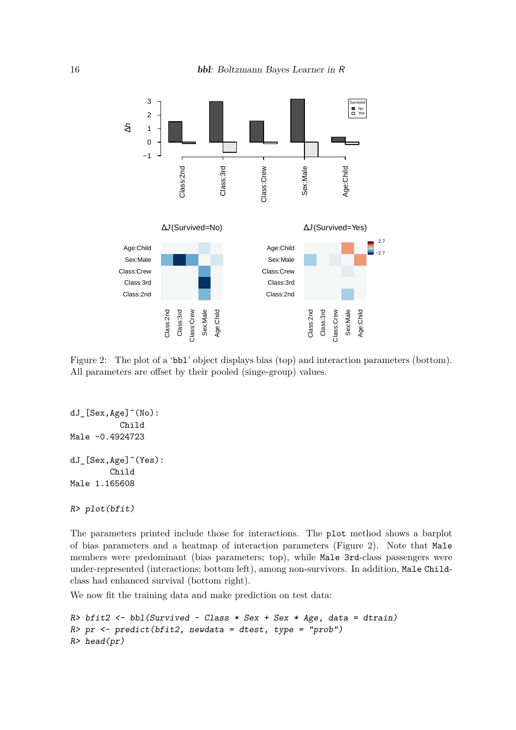

<span id="page-15-0"></span>Figure 2: The plot of a 'bbl' object displays bias (top) and interaction parameters (bottom). All parameters are offset by their pooled (singe-group) values.

```
dJ_[Sex,Age]^(No):
          Child
Male -0.4924723
dJ_[Sex,Age]^(Yes):
        Child
Male 1.165608
```

```
R> plot(bfit)
```
The parameters printed include those for interactions. The plot method shows a barplot of bias parameters and a heatmap of interaction parameters (Figure [2\)](#page-15-0). Note that Male members were predominant (bias parameters; top), while Male 3rd-class passengers were under-represented (interactions; bottom left), among non-survivors. In addition, Male Childclass had enhanced survival (bottom right).

We now fit the training data and make prediction on test data:

```
R> bfit2 <- bbl(Survived ~ Class * Sex + Sex * Age, data = dtrain)
R> pr <- predict(bfit2, newdata = dtest, type = "prob")
R> head(pr)
```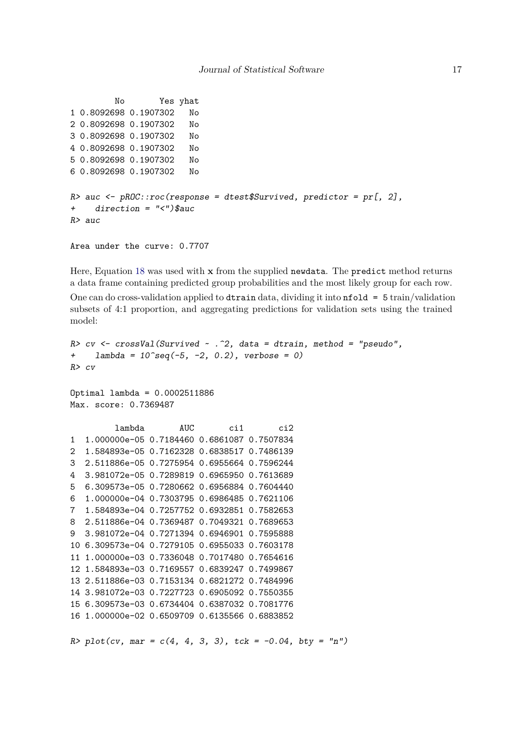```
No Yes yhat
1 0.8092698 0.1907302 No
2 0.8092698 0.1907302 No
3 0.8092698 0.1907302 No
4 0.8092698 0.1907302 No
5 0.8092698 0.1907302 No
6 0.8092698 0.1907302 No
R auc \leftarrow pROC::roc(response = dtest$Survived, predictor = pr[, 2],
+ direction = "<")$auc
R> auc
```

```
Area under the curve: 0.7707
```
Here, Equation [18](#page-5-0) was used with **x** from the supplied newdata. The predict method returns a data frame containing predicted group probabilities and the most likely group for each row. One can do cross-validation applied to dtrain data, dividing it into  $n = 5$  train/validation subsets of 4:1 proportion, and aggregating predictions for validation sets using the trained model:

```
R> cv <- crossVal(Survived ~ .~^2, data = dtrain, method = "pseudo",+ lambda = 10^{\circ}seq(-5, -2, 0.2), verbose = 0)
R> cv
Optimal lambda = 0.0002511886
Max. score: 0.7369487
         lambda AUC ci1 ci2
1 1.000000e-05 0.7184460 0.6861087 0.7507834
2 1.584893e-05 0.7162328 0.6838517 0.7486139
3 2.511886e-05 0.7275954 0.6955664 0.7596244
4 3.981072e-05 0.7289819 0.6965950 0.7613689
5 6.309573e-05 0.7280662 0.6956884 0.7604440
6 1.000000e-04 0.7303795 0.6986485 0.7621106
7 1.584893e-04 0.7257752 0.6932851 0.7582653
```

```
8 2.511886e-04 0.7369487 0.7049321 0.7689653
9 3.981072e-04 0.7271394 0.6946901 0.7595888
10 6.309573e-04 0.7279105 0.6955033 0.7603178
11 1.000000e-03 0.7336048 0.7017480 0.7654616
12 1.584893e-03 0.7169557 0.6839247 0.7499867
13 2.511886e-03 0.7153134 0.6821272 0.7484996
14 3.981072e-03 0.7227723 0.6905092 0.7550355
15 6.309573e-03 0.6734404 0.6387032 0.7081776
16 1.000000e-02 0.6509709 0.6135566 0.6883852
```
R> plot(cv, mar =  $c(4, 4, 3, 3)$ , tck = -0.04, bty = "n")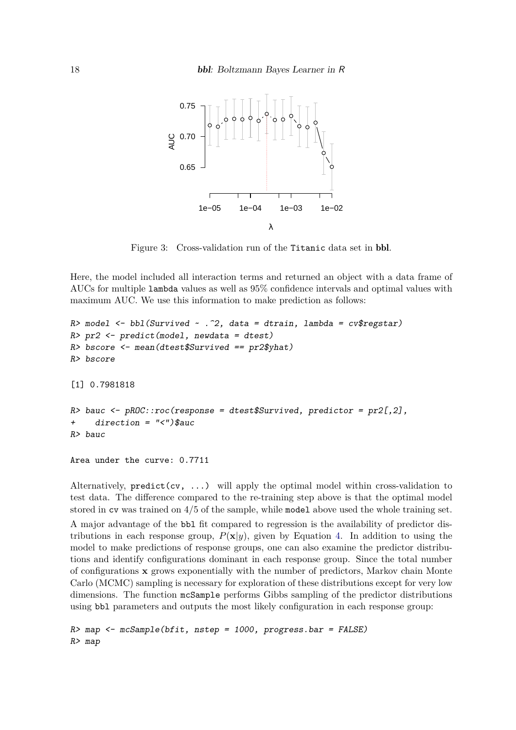

Figure 3: Cross-validation run of the Titanic data set in bbl.

Here, the model included all interaction terms and returned an object with a data frame of AUCs for multiple lambda values as well as 95% confidence intervals and optimal values with maximum AUC. We use this information to make prediction as follows:

```
R> model \le bbl(Survived \sim . \hat{c}, data = dtrain, lambda = cv$regstar)
R> pr2 <- predict(model, newdata = dtest)
R> bscore <- mean(dtest$Survived == pr2$yhat)
R> bscore
[1] 0.7981818
R> bauc \leq pROC::roc(response = dtest$Survived, predictor = pr2[,2],
     direction = "<-")$auc
R> bauc
```
Area under the curve: 0.7711

Alternatively,  $predict(cv, ...)$  will apply the optimal model within cross-validation to test data. The difference compared to the re-training step above is that the optimal model stored in  $cv$  was trained on  $4/5$  of the sample, while model above used the whole training set.

A major advantage of the bbl fit compared to regression is the availability of predictor distributions in each response group,  $P(\mathbf{x}|y)$ , given by Equation [4.](#page-2-1) In addition to using the model to make predictions of response groups, one can also examine the predictor distributions and identify configurations dominant in each response group. Since the total number of configurations **x** grows exponentially with the number of predictors, Markov chain Monte Carlo (MCMC) sampling is necessary for exploration of these distributions except for very low dimensions. The function mcSample performs Gibbs sampling of the predictor distributions using bbl parameters and outputs the most likely configuration in each response group:

 $R$  map  $\leq$  mcSample(bfit, nstep = 1000, progress.bar = FALSE) R> map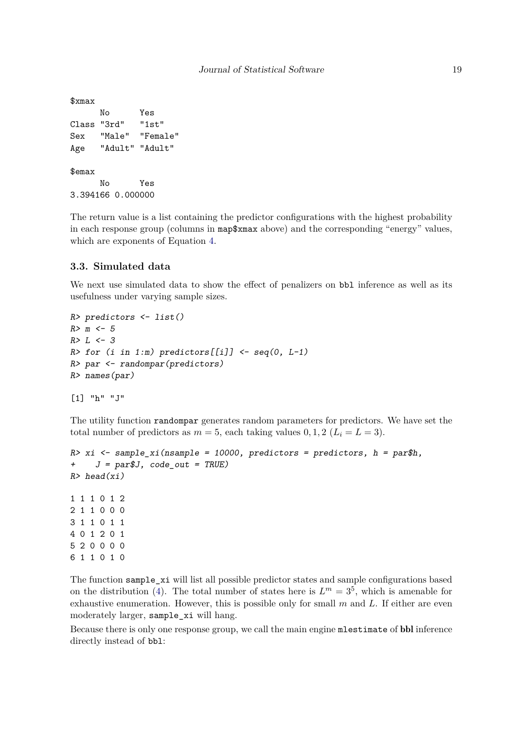```
$xmax
     No Yes
Class "3rd" "1st"
Sex "Male" "Female"
Age "Adult" "Adult"
$emax
     No Yes
3.394166 0.000000
```
The return value is a list containing the predictor configurations with the highest probability in each response group (columns in map\$xmax above) and the corresponding "energy" values, which are exponents of Equation [4.](#page-2-1)

### **3.3. Simulated data**

We next use simulated data to show the effect of penalizers on bbl inference as well as its usefulness under varying sample sizes.

```
R> predictors <- list()
R > m < -5R > L \leftarrow 3R > for (i in 1:m) predictors[[i]] \leq seq(0, L-1)
R> par <- randompar(predictors)
R> names(par)
```

```
[1] "h" "J"
```
The utility function randompar generates random parameters for predictors. We have set the total number of predictors as  $m = 5$ , each taking values  $0, 1, 2$  ( $L<sub>i</sub> = L = 3$ ).

```
R> xi <- sample xi(nsample = 10000, predictors = predictors, h = par$h,
+ J = par$J, code_out = TRUE)
R> head(xi)
1 1 1 0 1 2
2 1 1 0 0 0
3 1 1 0 1 1
4 0 1 2 0 1
5 2 0 0 0 0
6 1 1 0 1 0
```
The function sample\_xi will list all possible predictor states and sample configurations based on the distribution [\(4\)](#page-2-1). The total number of states here is  $L^m = 3^5$ , which is amenable for exhaustive enumeration. However, this is possible only for small *m* and *L*. If either are even moderately larger, sample\_xi will hang.

Because there is only one response group, we call the main engine mlestimate of bbl inference directly instead of bbl: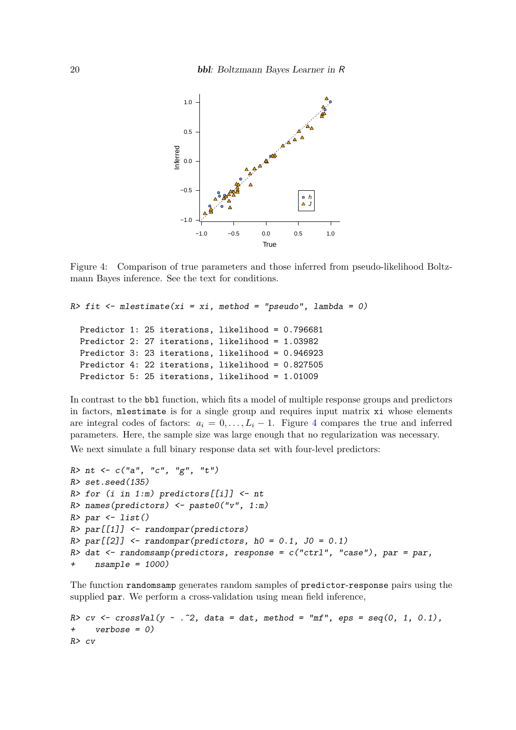

<span id="page-19-0"></span>Figure 4: Comparison of true parameters and those inferred from pseudo-likelihood Boltzmann Bayes inference. See the text for conditions.

```
R> fit <- mlestimate(xi = xi, method = "pseudo", lambda = 0)
 Predictor 1: 25 iterations, likelihood = 0.796681
 Predictor 2: 27 iterations, likelihood = 1.03982
 Predictor 3: 23 iterations, likelihood = 0.946923
 Predictor 4: 22 iterations, likelihood = 0.827505
 Predictor 5: 25 iterations, likelihood = 1.01009
```
In contrast to the bbl function, which fits a model of multiple response groups and predictors in factors, mlestimate is for a single group and requires input matrix xi whose elements are integral codes of factors:  $a_i = 0, \ldots, L_i - 1$ . Figure [4](#page-19-0) compares the true and inferred parameters. Here, the sample size was large enough that no regularization was necessary.

We next simulate a full binary response data set with four-level predictors:

```
R > nt <- c("a", "c", "g", "t")
R> set.seed(135)
R> for (i in 1:m) predictors[[i]] <- nt
R> names(predictors) <- paste0("v", 1:m)
R> par \leftarrow list()
R > par[[1]] <- randompar(predictors)
R> par[[2]] <- randompar(predictors, h0 = 0.1, J0 = 0.1)
R> dat \le randomsamp(predictors, response = c("ctrl", "case"), par = par,+ nsample = 1000)
```
The function randomsamp generates random samples of predictor-response pairs using the supplied par. We perform a cross-validation using mean field inference,

```
R> cv \leq crossVal(y \sim . ^2, data = dat, method = "mf", eps = seq(0, 1, 0.1),
+ verbose = 0)
R> cv
```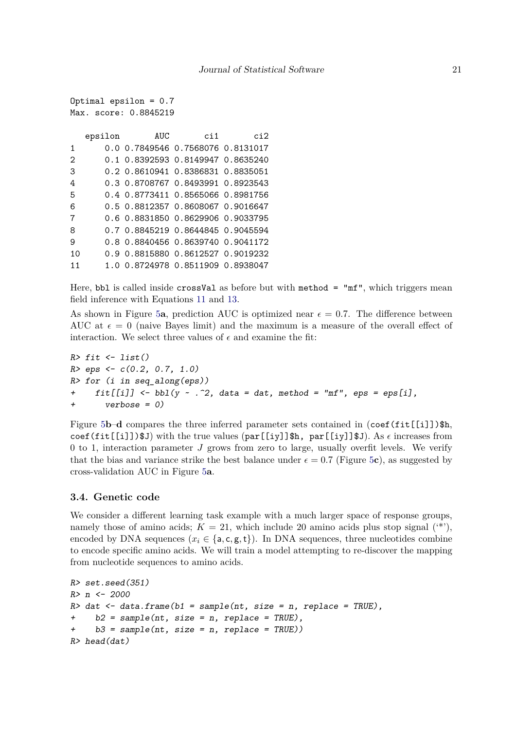```
Optimal epsilon = 0.7
Max. score: 0.8845219
  epsilon AUC ci1 ci2
1 0.0 0.7849546 0.7568076 0.8131017
2 0.1 0.8392593 0.8149947 0.8635240
3 0.2 0.8610941 0.8386831 0.8835051
4 0.3 0.8708767 0.8493991 0.8923543
5 0.4 0.8773411 0.8565066 0.8981756
6 0.5 0.8812357 0.8608067 0.9016647
7 0.6 0.8831850 0.8629906 0.9033795
8 0.7 0.8845219 0.8644845 0.9045594
9 0.8 0.8840456 0.8639740 0.9041172
10 0.9 0.8815880 0.8612527 0.9019232
11 1.0 0.8724978 0.8511909 0.8938047
```
Here, bbl is called inside crossVal as before but with method = "mf", which triggers mean field inference with Equations [11](#page-4-0) and [13.](#page-4-1)

As shown in Figure [5](#page-21-0)**a**, prediction AUC is optimized near  $\epsilon = 0.7$ . The difference between AUC at  $\epsilon = 0$  (naive Bayes limit) and the maximum is a measure of the overall effect of interaction. We select three values of  $\epsilon$  and examine the fit:

```
R> fit \leftarrow list()
R > eps \leftarrow c(0.2, 0.7, 1.0)R> for (i in seq_along(eps))
+ fit[[i]] \leftarrow bb1(y \sim .^2, data = dat, method = "mf", ops = ops[i],+ verbose = 0)
```
Figure [5](#page-21-0)**b–d** compares the three inferred parameter sets contained in  $(\text{coef}(fit[[i]]))\$ h, coef(fit[[i]]) $$J)$  with the true values (par[[iy]] $$h, par[[i\gamma]]$  $$J)$ . As  $\epsilon$  increases from 0 to 1, interaction parameter *J* grows from zero to large, usually overfit levels. We verify that the bias and variance strike the best balance under  $\epsilon = 0.7$  (Figure [5](#page-21-0)c), as suggested by cross-validation AUC in Figure [5](#page-21-0)**a**.

# **3.4. Genetic code**

We consider a different learning task example with a much larger space of response groups, namely those of amino acids;  $K = 21$ , which include 20 amino acids plus stop signal  $(4^*)$ , encoded by DNA sequences  $(x_i \in \{a, c, g, t\})$ . In DNA sequences, three nucleotides combine to encode specific amino acids. We will train a model attempting to re-discover the mapping from nucleotide sequences to amino acids.

```
R> set.seed(351)
R> n <- 2000
R> dat \leq data.frame(b1 = sample(nt, size = n, replace = TRUE),
+ b2 = sample(nt, size = n, replace = TRUE),
     b3 = sample(nt, size = n, replace = TRUE))
R> head(dat)
```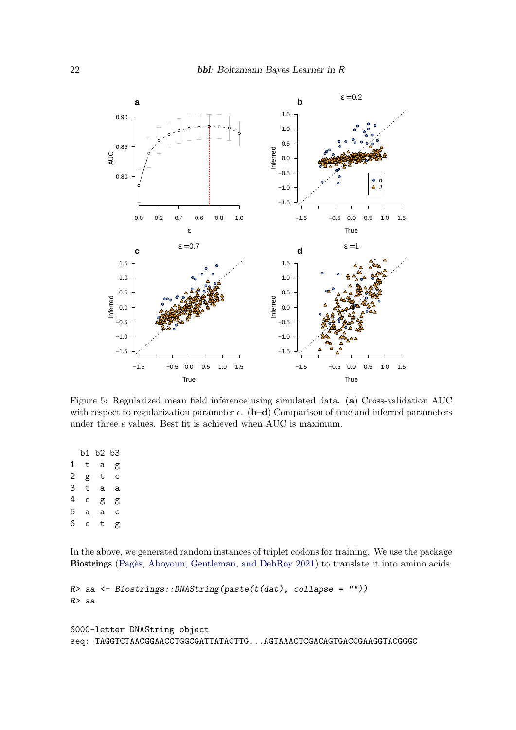

<span id="page-21-0"></span>Figure 5: Regularized mean field inference using simulated data. (**a**) Cross-validation AUC with respect to regularization parameter  $\epsilon$ . (**b–d**) Comparison of true and inferred parameters under three  $\epsilon$  values. Best fit is achieved when AUC is maximum.

b1 b2 b3 1 t a g 2 g t c 3 t a a 4 c g g 5 a a c 6 c t g

In the above, we generated random instances of triplet codons for training. We use the package Biostrings [\(Pagès, Aboyoun, Gentleman, and DebRoy](#page-30-6) [2021\)](#page-30-6) to translate it into amino acids:

```
R> aa <- Biostrings::DNAString(paste(t(dat), collapse = ""))
R> aa
```

```
6000-letter DNAString object
seq: TAGGTCTAACGGAACCTGGCGATTATACTTG...AGTAAACTCGACAGTGACCGAAGGTACGGGC
```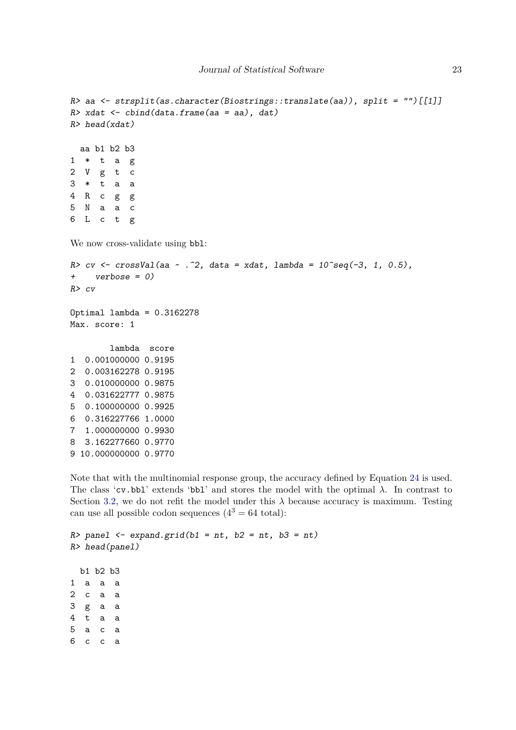```
R> aa <- strsplit(as.character(Biostrings::translate(aa)), split = "")[[1]]
R> xdat \leftarrow cbind(data.frame(aa = aa), dat)
R> head(xdat)
  aa b1 b2 b3
1 * t a g2 V g t c
3 * t a a
4 R c g g
5 N a a c
6 L c t g
We now cross-validate using bb1:
R> cv \leftarrow crossVal(aa \sim .^2, data = xdat, lambda = 10^sseq(-3, 1, 0.5),+ verbose = 0)
R> cv
Optimal lambda = 0.3162278
Max. score: 1
        lambda score
1 0.001000000 0.9195
2 0.003162278 0.9195
3 0.010000000 0.9875
4 0.031622777 0.9875
5 0.100000000 0.9925
6 0.316227766 1.0000
7 1.000000000 0.9930
8 3.162277660 0.9770
9 10.000000000 0.9770
```
Note that with the multinomial response group, the accuracy defined by Equation [24](#page-6-1) is used. The class 'cv.bbl' extends 'bbl' and stores the model with the optimal  $\lambda$ . In contrast to Section [3.2,](#page-10-1) we do not refit the model under this  $\lambda$  because accuracy is maximum. Testing can use all possible codon sequences  $(4^3 = 64 \text{ total})$ :

```
R> panel <- expand.grid(b1 = nt, b2 = nt, b3 = nt)
R> head(panel)
 b1 b2 b3
1 a a a
2 c a a
3 g a a
4 t a a
5 a c a
6 c c a
```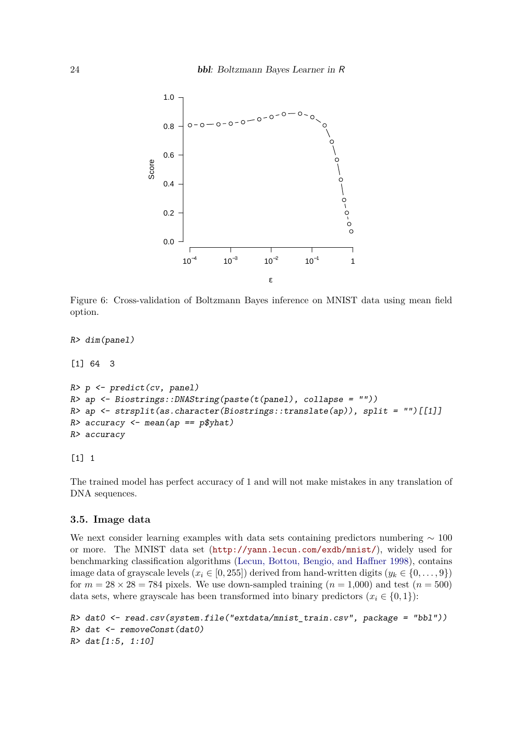

<span id="page-23-1"></span>Figure 6: Cross-validation of Boltzmann Bayes inference on MNIST data using mean field option.

```
R> dim(panel)
[1] 64 3
R> p <- predict(cv, panel)
R> ap <- Biostrings::DNAString(paste(t(panel), collapse = ""))
R> ap <- strsplit(as.character(Biostrings::translate(ap)), split = "")[[1]]
R> accuracy <- mean(ap == p$yhat)
R> accuracy
```
[1] 1

The trained model has perfect accuracy of 1 and will not make mistakes in any translation of DNA sequences.

# <span id="page-23-0"></span>**3.5. Image data**

We next consider learning examples with data sets containing predictors numbering  $~100$ or more. The MNIST data set (<http://yann.lecun.com/exdb/mnist/>), widely used for benchmarking classification algorithms [\(Lecun, Bottou, Bengio, and Haffner](#page-29-10) [1998\)](#page-29-10), contains image data of grayscale levels  $(x_i \in [0, 255])$  derived from hand-written digits  $(y_k \in \{0, \ldots, 9\})$ for  $m = 28 \times 28 = 784$  pixels. We use down-sampled training  $(n = 1,000)$  and test  $(n = 500)$ data sets, where grayscale has been transformed into binary predictors  $(x_i \in \{0, 1\})$ :

```
R> dat0 <- read.csv(system.file("extdata/mnist_train.csv", package = "bbl"))
R> dat <- removeConst(dat0)
R> dat[1:5, 1:10]
```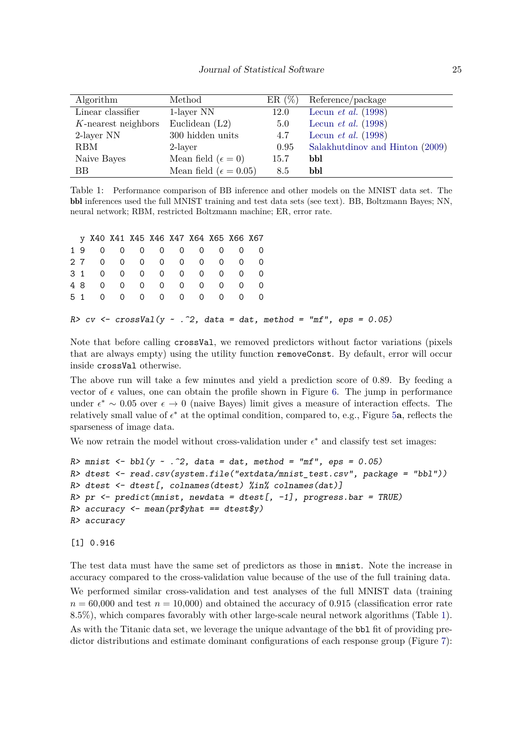| Algorithm           | Method                           | ER(%) | Reference/package               |
|---------------------|----------------------------------|-------|---------------------------------|
| Linear classifier   | 1-layer NN                       | 12.0  | Lecun <i>et al.</i> $(1998)$    |
| K-nearest neighbors | Euclidean $(L2)$                 | 5.0   | Lecun <i>et al.</i> $(1998)$    |
| 2-layer NN          | 300 hidden units                 | 4.7   | Lecun <i>et al.</i> $(1998)$    |
| <b>RBM</b>          | 2-layer                          | 0.95  | Salakhutdinov and Hinton (2009) |
| Naive Bayes         | Mean field $(\epsilon = 0)$      | 15.7  | bbl                             |
| BB                  | Mean field ( $\epsilon = 0.05$ ) | 8.5   | bbl                             |

<span id="page-24-0"></span>Table 1: Performance comparison of BB inference and other models on the MNIST data set. The bbl inferences used the full MNIST training and test data sets (see text). BB, Boltzmann Bayes; NN, neural network; RBM, restricted Boltzmann machine; ER, error rate.

|    |          |          | y X40 X41 X45 X46 X47 X64 X65 X66 X67 |  |               |  |  |
|----|----------|----------|---------------------------------------|--|---------------|--|--|
| 19 |          |          | 0 0 0 0 0 0 0 0                       |  |               |  |  |
| 27 |          |          | 0 0 0 0 0 0 0 0                       |  |               |  |  |
|    |          |          | 31 0 0 0 0 0 0 0 0 0                  |  |               |  |  |
| 48 | $\Omega$ | $\Omega$ |                                       |  | 0 0 0 0 0 0 0 |  |  |
|    | 51 0     |          | 0 0 0 0 0 0 0                         |  |               |  |  |

#### R>  $cv \leftarrow crossVal(y \sim .^2, data = dat, method = "mf", ops = 0.05)$

Note that before calling crossVal, we removed predictors without factor variations (pixels that are always empty) using the utility function removeConst. By default, error will occur inside crossVal otherwise.

The above run will take a few minutes and yield a prediction score of 0*.*89. By feeding a vector of  $\epsilon$  values, one can obtain the profile shown in Figure [6.](#page-23-1) The jump in performance under  $\epsilon^* \sim 0.05$  over  $\epsilon \to 0$  (naive Bayes) limit gives a measure of interaction effects. The relatively small value of  $\epsilon^*$  at the optimal condition, compared to, e.g., Figure [5](#page-21-0)**a**, reflects the sparseness of image data.

We now retrain the model without cross-validation under  $\epsilon^*$  and classify test set images:

```
R> mnist \leftarrow \text{bb1}(y \sim .\hat{z}), data = dat, method = "mf", eps = 0.05)
R> dtest \leq read.csv(system.file("extdata/mnist_test.csv", package = "bbl"))
R> dtest <- dtest[, colnames(dtest) %in% colnames(dat)]
R> pr <- predict(mnist, newdata = dtest[, -1], progress.bar = TRUE)
R accuracy \leq mean(pr$yhat == dtest$y)
R> accuracy
```
[1] 0.916

The test data must have the same set of predictors as those in mnist. Note the increase in accuracy compared to the cross-validation value because of the use of the full training data. We performed similar cross-validation and test analyses of the full MNIST data (training  $n = 60,000$  and test  $n = 10,000$ ) and obtained the accuracy of 0.915 (classification error rate 8*.*5%), which compares favorably with other large-scale neural network algorithms (Table [1\)](#page-24-0). As with the Titanic data set, we leverage the unique advantage of the bbl fit of providing predictor distributions and estimate dominant configurations of each response group (Figure [7\)](#page-25-0):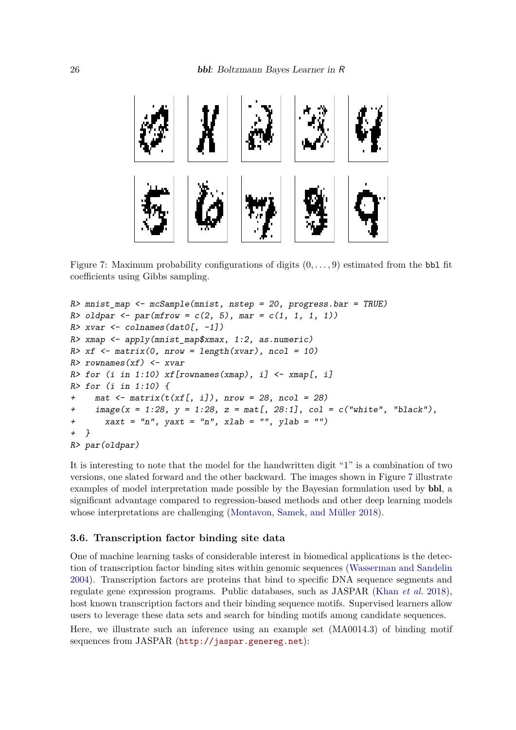

Figure 7: Maximum probability configurations of digits (0*, . . . ,* 9) estimated from the bbl fit coefficients using Gibbs sampling.

```
R> mnist_map <- mcSample(mnist, nstep = 20, progress.bar = TRUE)
R oldpar \leq par(mfrow = c(2, 5), mar = c(1, 1, 1, 1))
R> xvar \leq colnames(dat0[, -1])
R> xmap \leq apply(mnist_map$xmax, 1:2, as.numeric)
R> xf <- matrix(0, nrow = length(xvar), ncol = 10)
R> rownames(xf) <- xvar
R> for (i in 1:10) xf[rownames(xmap), i] < -xmap[, i]R> for (i in 1:10) {
     \text{mat} \leftarrow \text{matrix}(t(xf[, i]), \text{now} = 28, \text{ncol} = 28)+ \text{image}(x = 1:28, y = 1:28, z = \text{mat}[, 28:1], col = c("white", "black"),+ xaxt = "n", yaxt = "n", xlab = "", ylab = "")+ }
R> par(oldpar)
```
It is interesting to note that the model for the handwritten digit "1" is a combination of two versions, one slated forward and the other backward. The images shown in Figure [7](#page-25-0) illustrate examples of model interpretation made possible by the Bayesian formulation used by bbl, a significant advantage compared to regression-based methods and other deep learning models whose interpretations are challenging [\(Montavon, Samek, and Müller](#page-29-11) [2018\)](#page-29-11).

#### <span id="page-25-1"></span>**3.6. Transcription factor binding site data**

One of machine learning tasks of considerable interest in biomedical applications is the detection of transcription factor binding sites within genomic sequences [\(Wasserman and Sandelin](#page-30-8) [2004\)](#page-30-8). Transcription factors are proteins that bind to specific DNA sequence segments and regulate gene expression programs. Public databases, such as JASPAR [\(Khan](#page-29-12) *et al.* [2018\)](#page-29-12), host known transcription factors and their binding sequence motifs. Supervised learners allow users to leverage these data sets and search for binding motifs among candidate sequences.

Here, we illustrate such an inference using an example set (MA0014.3) of binding motif sequences from JASPAR (<http://jaspar.genereg.net>):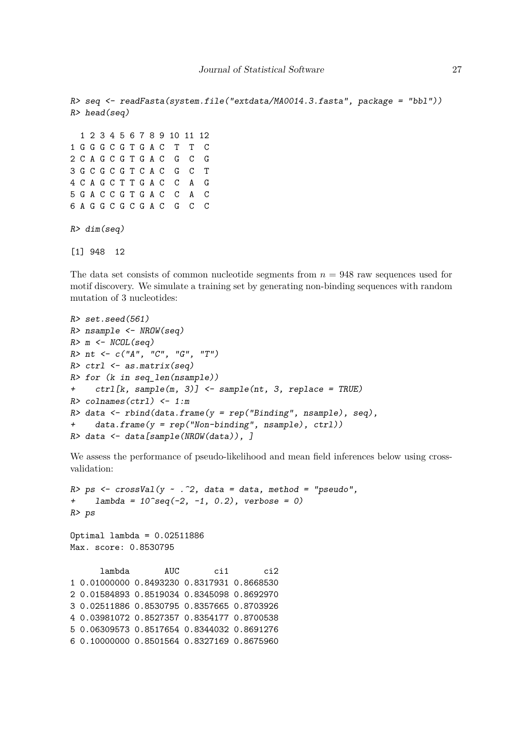```
R> seq <- readFasta(system.file("extdata/MA0014.3.fasta", package = "bbl"))
R> head(seq)
  1 2 3 4 5 6 7 8 9 10 11 12
1 G G G C G T G A C T T C
2 C A G C G T G A C G C G
3 G C G C G T C A C G C T
4 C A G C T T G A C C A G
5 G A C C G T G A C C A C
6 A G G C G C G A C G C C
R> dim(seq)
[1] 948 12
```
The data set consists of common nucleotide segments from *n* = 948 raw sequences used for motif discovery. We simulate a training set by generating non-binding sequences with random mutation of 3 nucleotides:

```
R> set.seed(561)
R> nsample <- NROW(seq)
R > m \leftarrow NCOL(\text{seq})R>nt < -c("A", "C", "G", "T")R> ctrl \leq as.matrix(seq)
R> for (k in seq len(nsample))
+ ctrl[k, sample(m, 3)] <- sample(nt, 3, replace = TRUE)
R> colnames(ctrl) <- 1:m
R> data <- rbind(data.frame(y = rep('Binding'', nsample), seq),
+ data.frame(y = rep("Non-binding", nsample), ctrl))
R> data <- data[sample(NROW(data)), ]
```
We assess the performance of pseudo-likelihood and mean field inferences below using crossvalidation:

```
R> ps <- crossVal(y - .^2, data = data, method = "pseudo",+ lambda = 10^{\circ}seq(-2, -1, 0.2), verbose = 0)
R> ps
Optimal lambda = 0.02511886
Max. score: 0.8530795
      lambda AUC ci1 ci2
1 0.01000000 0.8493230 0.8317931 0.8668530
2 0.01584893 0.8519034 0.8345098 0.8692970
3 0.02511886 0.8530795 0.8357665 0.8703926
4 0.03981072 0.8527357 0.8354177 0.8700538
5 0.06309573 0.8517654 0.8344032 0.8691276
6 0.10000000 0.8501564 0.8327169 0.8675960
```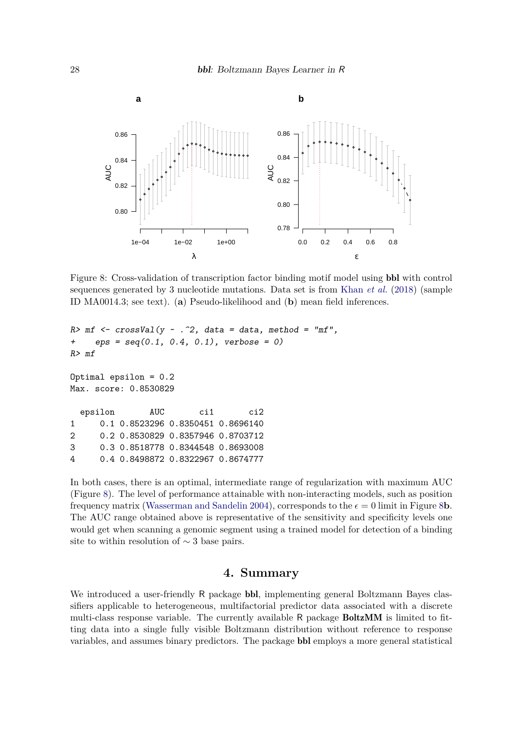

<span id="page-27-0"></span>Figure 8: Cross-validation of transcription factor binding motif model using bbl with control sequences generated by 3 nucleotide mutations. Data set is from [Khan](#page-29-12) *et al.* [\(2018\)](#page-29-12) (sample ID MA0014.3; see text). (**a**) Pseudo-likelihood and (**b**) mean field inferences.

```
R> m f <- crossVal(y \sim .^2), data = data, method = "mf",
+ eps = seq(0.1, 0.4, 0.1), verbose = 0)
R> mf
Optimal epsilon = 0.2
Max. score: 0.8530829
  epsilon AUC ci1 ci2
1 0.1 0.8523296 0.8350451 0.8696140
2 0.2 0.8530829 0.8357946 0.8703712
3 0.3 0.8518778 0.8344548 0.8693008
4 0.4 0.8498872 0.8322967 0.8674777
```
In both cases, there is an optimal, intermediate range of regularization with maximum AUC (Figure [8\)](#page-27-0). The level of performance attainable with non-interacting models, such as position frequency matrix [\(Wasserman and Sandelin](#page-30-8) [2004\)](#page-30-8), corresponds to the  $\epsilon = 0$  limit in Figure [8](#page-27-0)**b**. The AUC range obtained above is representative of the sensitivity and specificity levels one would get when scanning a genomic segment using a trained model for detection of a binding site to within resolution of  $\sim$  3 base pairs.

# **4. Summary**

We introduced a user-friendly R package **bbl**, implementing general Boltzmann Bayes classifiers applicable to heterogeneous, multifactorial predictor data associated with a discrete multi-class response variable. The currently available R package BoltzMM is limited to fitting data into a single fully visible Boltzmann distribution without reference to response variables, and assumes binary predictors. The package bbl employs a more general statistical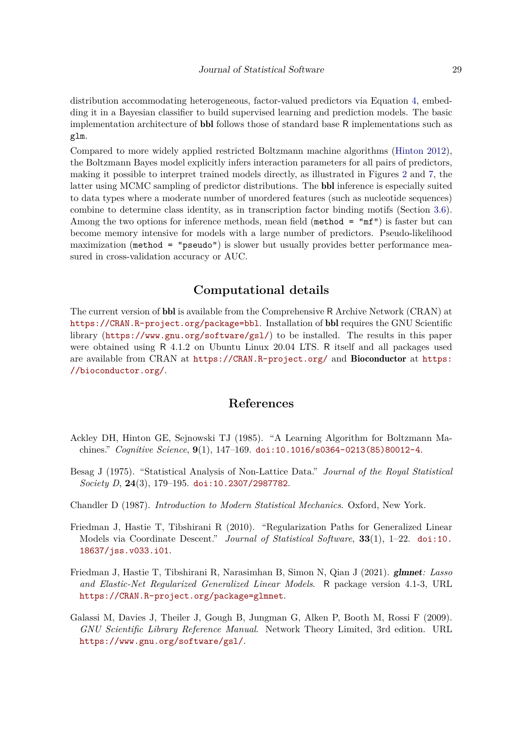distribution accommodating heterogeneous, factor-valued predictors via Equation [4,](#page-2-1) embedding it in a Bayesian classifier to build supervised learning and prediction models. The basic implementation architecture of bbl follows those of standard base R implementations such as glm.

Compared to more widely applied restricted Boltzmann machine algorithms [\(Hinton](#page-29-8) [2012\)](#page-29-8), the Boltzmann Bayes model explicitly infers interaction parameters for all pairs of predictors, making it possible to interpret trained models directly, as illustrated in Figures [2](#page-15-0) and [7,](#page-25-0) the latter using MCMC sampling of predictor distributions. The bbl inference is especially suited to data types where a moderate number of unordered features (such as nucleotide sequences) combine to determine class identity, as in transcription factor binding motifs (Section [3.6\)](#page-25-1). Among the two options for inference methods, mean field (method  $=$  "mf") is faster but can become memory intensive for models with a large number of predictors. Pseudo-likelihood maximization (method = "pseudo") is slower but usually provides better performance measured in cross-validation accuracy or AUC.

# **Computational details**

The current version of bbl is available from the Comprehensive R Archive Network (CRAN) at <https://CRAN.R-project.org/package=bbl>. Installation of bbl requires the GNU Scientific library (<https://www.gnu.org/software/gsl/>) to be installed. The results in this paper were obtained using R 4.1.2 on Ubuntu Linux 20.04 LTS. R itself and all packages used are available from CRAN at <https://CRAN.R-project.org/> and Bioconductor at [https:](https://bioconductor.org/) [//bioconductor.org/](https://bioconductor.org/).

# **References**

- <span id="page-28-0"></span>Ackley DH, Hinton GE, Sejnowski TJ (1985). "A Learning Algorithm for Boltzmann Machines." *Cognitive Science*, **9**(1), 147–169. [doi:10.1016/s0364-0213\(85\)80012-4](https://doi.org/10.1016/s0364-0213(85)80012-4).
- <span id="page-28-2"></span>Besag J (1975). "Statistical Analysis of Non-Lattice Data." *Journal of the Royal Statistical Society D*, **24**(3), 179–195. [doi:10.2307/2987782](https://doi.org/10.2307/2987782).
- <span id="page-28-1"></span>Chandler D (1987). *Introduction to Modern Statistical Mechanics*. Oxford, New York.
- <span id="page-28-4"></span>Friedman J, Hastie T, Tibshirani R (2010). "Regularization Paths for Generalized Linear Models via Coordinate Descent." *Journal of Statistical Software*, **33**(1), 1–22. [doi:10.](https://doi.org/10.18637/jss.v033.i01) [18637/jss.v033.i01](https://doi.org/10.18637/jss.v033.i01).
- <span id="page-28-5"></span>Friedman J, Hastie T, Tibshirani R, Narasimhan B, Simon N, Qian J (2021). glmnet*: Lasso and Elastic-Net Regularized Generalized Linear Models*. R package version 4.1-3, URL <https://CRAN.R-project.org/package=glmnet>.
- <span id="page-28-3"></span>Galassi M, Davies J, Theiler J, Gough B, Jungman G, Alken P, Booth M, Rossi F (2009). *GNU Scientific Library Reference Manual*. Network Theory Limited, 3rd edition. URL <https://www.gnu.org/software/gsl/>.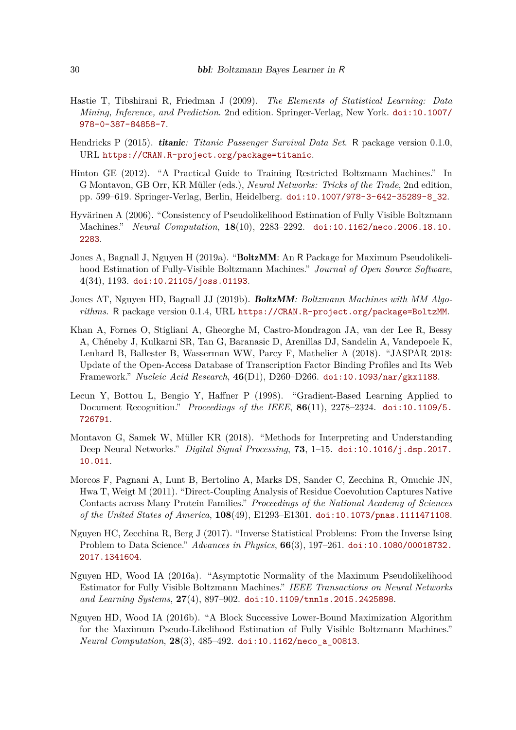- <span id="page-29-0"></span>Hastie T, Tibshirani R, Friedman J (2009). *The Elements of Statistical Learning: Data Mining, Inference, and Prediction*. 2nd edition. Springer-Verlag, New York. [doi:10.1007/](https://doi.org/10.1007/978-0-387-84858-7) [978-0-387-84858-7](https://doi.org/10.1007/978-0-387-84858-7).
- <span id="page-29-9"></span>Hendricks P (2015). titanic*: Titanic Passenger Survival Data Set*. R package version 0.1.0, URL <https://CRAN.R-project.org/package=titanic>.
- <span id="page-29-8"></span>Hinton GE (2012). "A Practical Guide to Training Restricted Boltzmann Machines." In G Montavon, GB Orr, KR Müller (eds.), *Neural Networks: Tricks of the Trade*, 2nd edition, pp. 599–619. Springer-Verlag, Berlin, Heidelberg. [doi:10.1007/978-3-642-35289-8\\_32](https://doi.org/10.1007/978-3-642-35289-8_32).
- <span id="page-29-1"></span>Hyvärinen A (2006). "Consistency of Pseudolikelihood Estimation of Fully Visible Boltzmann Machines." *Neural Computation*, **18**(10), 2283–2292. [doi:10.1162/neco.2006.18.10.](https://doi.org/10.1162/neco.2006.18.10.2283) [2283](https://doi.org/10.1162/neco.2006.18.10.2283).
- <span id="page-29-6"></span>Jones A, Bagnall J, Nguyen H (2019a). "BoltzMM: An R Package for Maximum Pseudolikelihood Estimation of Fully-Visible Boltzmann Machines." *Journal of Open Source Software*, **4**(34), 1193. [doi:10.21105/joss.01193](https://doi.org/10.21105/joss.01193).
- <span id="page-29-7"></span>Jones AT, Nguyen HD, Bagnall JJ (2019b). BoltzMM*: Boltzmann Machines with MM Algorithms*. R package version 0.1.4, URL <https://CRAN.R-project.org/package=BoltzMM>.
- <span id="page-29-12"></span>Khan A, Fornes O, Stigliani A, Gheorghe M, Castro-Mondragon JA, van der Lee R, Bessy A, Chéneby J, Kulkarni SR, Tan G, Baranasic D, Arenillas DJ, Sandelin A, Vandepoele K, Lenhard B, Ballester B, Wasserman WW, Parcy F, Mathelier A (2018). "JASPAR 2018: Update of the Open-Access Database of Transcription Factor Binding Profiles and Its Web Framework." *Nucleic Acid Research*, **46**(D1), D260–D266. [doi:10.1093/nar/gkx1188](https://doi.org/10.1093/nar/gkx1188).
- <span id="page-29-10"></span>Lecun Y, Bottou L, Bengio Y, Haffner P (1998). "Gradient-Based Learning Applied to Document Recognition." *Proceedings of the IEEE*, **86**(11), 2278–2324. [doi:10.1109/5.](https://doi.org/10.1109/5.726791) [726791](https://doi.org/10.1109/5.726791).
- <span id="page-29-11"></span>Montavon G, Samek W, Müller KR (2018). "Methods for Interpreting and Understanding Deep Neural Networks." *Digital Signal Processing*, **73**, 1–15. [doi:10.1016/j.dsp.2017.](https://doi.org/10.1016/j.dsp.2017.10.011) [10.011](https://doi.org/10.1016/j.dsp.2017.10.011).
- <span id="page-29-2"></span>Morcos F, Pagnani A, Lunt B, Bertolino A, Marks DS, Sander C, Zecchina R, Onuchic JN, Hwa T, Weigt M (2011). "Direct-Coupling Analysis of Residue Coevolution Captures Native Contacts across Many Protein Families." *Proceedings of the National Academy of Sciences of the United States of America*, **108**(49), E1293–E1301. [doi:10.1073/pnas.1111471108](https://doi.org/10.1073/pnas.1111471108).
- <span id="page-29-5"></span>Nguyen HC, Zecchina R, Berg J (2017). "Inverse Statistical Problems: From the Inverse Ising Problem to Data Science." *Advances in Physics*, **66**(3), 197–261. [doi:10.1080/00018732.](https://doi.org/10.1080/00018732.2017.1341604) [2017.1341604](https://doi.org/10.1080/00018732.2017.1341604).
- <span id="page-29-3"></span>Nguyen HD, Wood IA (2016a). "Asymptotic Normality of the Maximum Pseudolikelihood Estimator for Fully Visible Boltzmann Machines." *IEEE Transactions on Neural Networks and Learning Systems*, **27**(4), 897–902. [doi:10.1109/tnnls.2015.2425898](https://doi.org/10.1109/tnnls.2015.2425898).
- <span id="page-29-4"></span>Nguyen HD, Wood IA (2016b). "A Block Successive Lower-Bound Maximization Algorithm for the Maximum Pseudo-Likelihood Estimation of Fully Visible Boltzmann Machines." *Neural Computation*, **28**(3), 485–492. [doi:10.1162/neco\\_a\\_00813](https://doi.org/10.1162/neco_a_00813).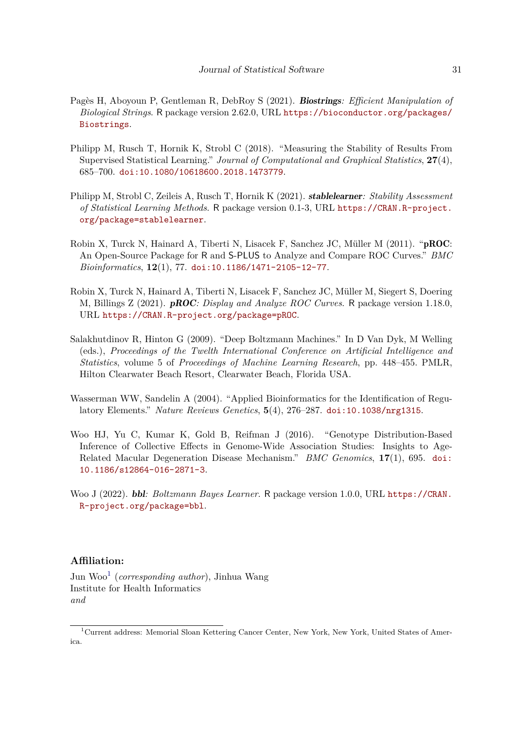- <span id="page-30-6"></span>Pagès H, Aboyoun P, Gentleman R, DebRoy S (2021). Biostrings*: Efficient Manipulation of Biological Strings*. R package version 2.62.0, URL [https://bioconductor.org/packages/](https://bioconductor.org/packages/Biostrings) [Biostrings](https://bioconductor.org/packages/Biostrings).
- <span id="page-30-4"></span>Philipp M, Rusch T, Hornik K, Strobl C (2018). "Measuring the Stability of Results From Supervised Statistical Learning." *Journal of Computational and Graphical Statistics*, **27**(4), 685–700. [doi:10.1080/10618600.2018.1473779](https://doi.org/10.1080/10618600.2018.1473779).
- <span id="page-30-5"></span>Philipp M, Strobl C, Zeileis A, Rusch T, Hornik K (2021). stablelearner*: Stability Assessment of Statistical Learning Methods*. R package version 0.1-3, URL [https://CRAN.R-project.](https://CRAN.R-project.org/package=stablelearner) [org/package=stablelearner](https://CRAN.R-project.org/package=stablelearner).
- <span id="page-30-2"></span>Robin X, Turck N, Hainard A, Tiberti N, Lisacek F, Sanchez JC, Müller M (2011). "pROC: An Open-Source Package for R and S-PLUS to Analyze and Compare ROC Curves." *BMC Bioinformatics*, **12**(1), 77. [doi:10.1186/1471-2105-12-77](https://doi.org/10.1186/1471-2105-12-77).
- <span id="page-30-3"></span>Robin X, Turck N, Hainard A, Tiberti N, Lisacek F, Sanchez JC, Müller M, Siegert S, Doering M, Billings Z (2021). pROC*: Display and Analyze ROC Curves*. R package version 1.18.0, URL <https://CRAN.R-project.org/package=pROC>.
- <span id="page-30-7"></span>Salakhutdinov R, Hinton G (2009). "Deep Boltzmann Machines." In D Van Dyk, M Welling (eds.), *Proceedings of the Twelth International Conference on Artificial Intelligence and Statistics*, volume 5 of *Proceedings of Machine Learning Research*, pp. 448–455. PMLR, Hilton Clearwater Beach Resort, Clearwater Beach, Florida USA.
- <span id="page-30-8"></span>Wasserman WW, Sandelin A (2004). "Applied Bioinformatics for the Identification of Regulatory Elements." *Nature Reviews Genetics*, **5**(4), 276–287. [doi:10.1038/nrg1315](https://doi.org/10.1038/nrg1315).
- <span id="page-30-0"></span>Woo HJ, Yu C, Kumar K, Gold B, Reifman J (2016). "Genotype Distribution-Based Inference of Collective Effects in Genome-Wide Association Studies: Insights to Age-Related Macular Degeneration Disease Mechanism." *BMC Genomics*, **17**(1), 695. [doi:](https://doi.org/10.1186/s12864-016-2871-3) [10.1186/s12864-016-2871-3](https://doi.org/10.1186/s12864-016-2871-3).
- <span id="page-30-1"></span>Woo J (2022). bbl*: Boltzmann Bayes Learner*. R package version 1.0.0, URL [https://CRAN.](https://CRAN.R-project.org/package=bbl) [R-project.org/package=bbl](https://CRAN.R-project.org/package=bbl).

# **Affiliation:**

Jun Woo[1](#page-30-9) (*corresponding author*), Jinhua Wang Institute for Health Informatics *and*

<span id="page-30-9"></span><sup>1</sup>Current address: Memorial Sloan Kettering Cancer Center, New York, New York, United States of America.